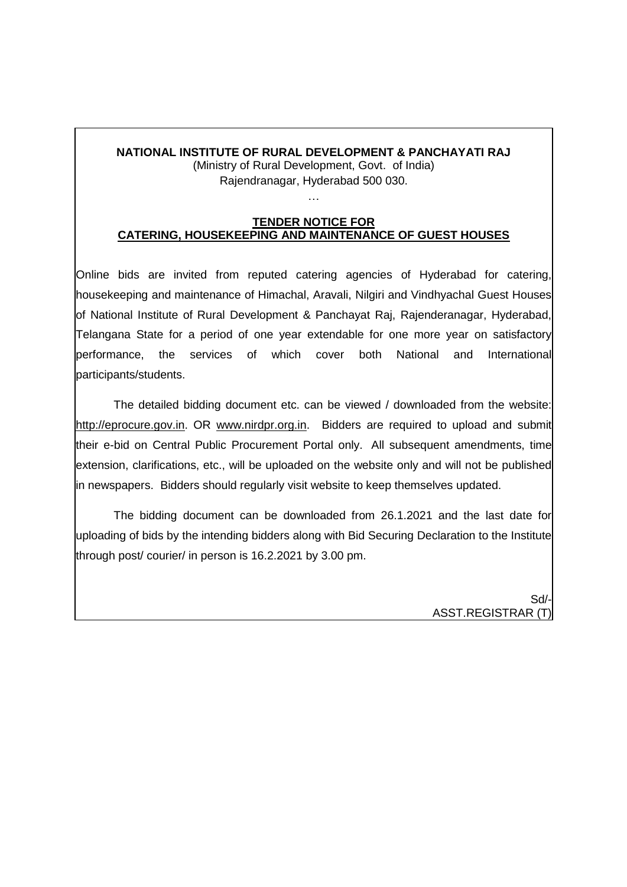# **NATIONAL INSTITUTE OF RURAL DEVELOPMENT & PANCHAYATI RAJ**

(Ministry of Rural Development, Govt. of India) Rajendranagar, Hyderabad 500 030.

…

#### **TENDER NOTICE FOR CATERING, HOUSEKEEPING AND MAINTENANCE OF GUEST HOUSES**

Online bids are invited from reputed catering agencies of Hyderabad for catering, housekeeping and maintenance of Himachal, Aravali, Nilgiri and Vindhyachal Guest Houses of National Institute of Rural Development & Panchayat Raj, Rajenderanagar, Hyderabad, Telangana State for a period of one year extendable for one more year on satisfactory performance, the services of which cover both National and International participants/students.

The detailed bidding document etc. can be viewed / downloaded from the website: http://eprocure.gov.in. OR www.nirdpr.org.in. Bidders are required to upload and submit their e-bid on Central Public Procurement Portal only. All subsequent amendments, time extension, clarifications, etc., will be uploaded on the website only and will not be published in newspapers. Bidders should regularly visit website to keep themselves updated.

The bidding document can be downloaded from 26.1.2021 and the last date for uploading of bids by the intending bidders along with Bid Securing Declaration to the Institute through post/ courier/ in person is 16.2.2021 by 3.00 pm.

> Sd/- ASST.REGISTRAR (T)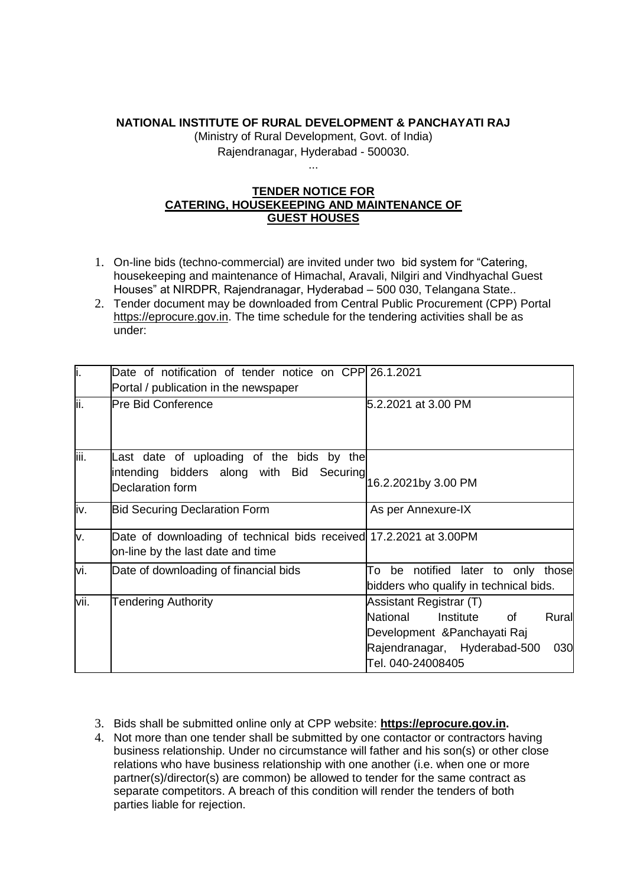#### **NATIONAL INSTITUTE OF RURAL DEVELOPMENT & PANCHAYATI RAJ**

(Ministry of Rural Development, Govt. of India) Rajendranagar, Hyderabad - 500030.

### **TENDER NOTICE FOR CATERING, HOUSEKEEPING AND MAINTENANCE OF GUEST HOUSES**

...

- 1. On-line bids (techno-commercial) are invited under two bid system for "Catering, housekeeping and maintenance of Himachal, Aravali, Nilgiri and Vindhyachal Guest Houses" at NIRDPR, Rajendranagar, Hyderabad – 500 030, Telangana State..
- 2. Tender document may be downloaded from Central Public Procurement (CPP) Portal https://eprocure.gov.in. The time schedule for the tendering activities shall be as under:

| i.   | Date of notification of tender notice on CPP 26.1.2021             |                                        |
|------|--------------------------------------------------------------------|----------------------------------------|
|      | Portal / publication in the newspaper                              |                                        |
| lii. | <b>Pre Bid Conference</b>                                          | 5.2.2021 at 3.00 PM                    |
|      |                                                                    |                                        |
|      |                                                                    |                                        |
| iii. | Last date of uploading of the bids by the                          |                                        |
|      | intending bidders along with Bid Securing                          | 16.2.2021by 3.00 PM                    |
|      | Declaration form                                                   |                                        |
| iv.  | <b>Bid Securing Declaration Form</b>                               | As per Annexure-IX                     |
|      |                                                                    |                                        |
| v.   | Date of downloading of technical bids received 17.2.2021 at 3.00PM |                                        |
|      | on-line by the last date and time                                  |                                        |
| vi.  | Date of downloading of financial bids                              | be notified later to only those<br>To  |
|      |                                                                    | bidders who qualify in technical bids. |
| vii. | <b>Tendering Authority</b>                                         | Assistant Registrar (T)                |
|      |                                                                    | National<br>Institute<br>Rural<br>of   |
|      |                                                                    | Development & Panchayati Raj           |
|      |                                                                    | Rajendranagar, Hyderabad-500<br>030    |
|      |                                                                    | Tel. 040-24008405                      |

- 3. Bids shall be submitted online only at CPP website: **https://eprocure.gov.in.**
- 4. Not more than one tender shall be submitted by one contactor or contractors having business relationship. Under no circumstance will father and his son(s) or other close relations who have business relationship with one another (i.e. when one or more partner(s)/director(s) are common) be allowed to tender for the same contract as separate competitors. A breach of this condition will render the tenders of both parties liable for rejection.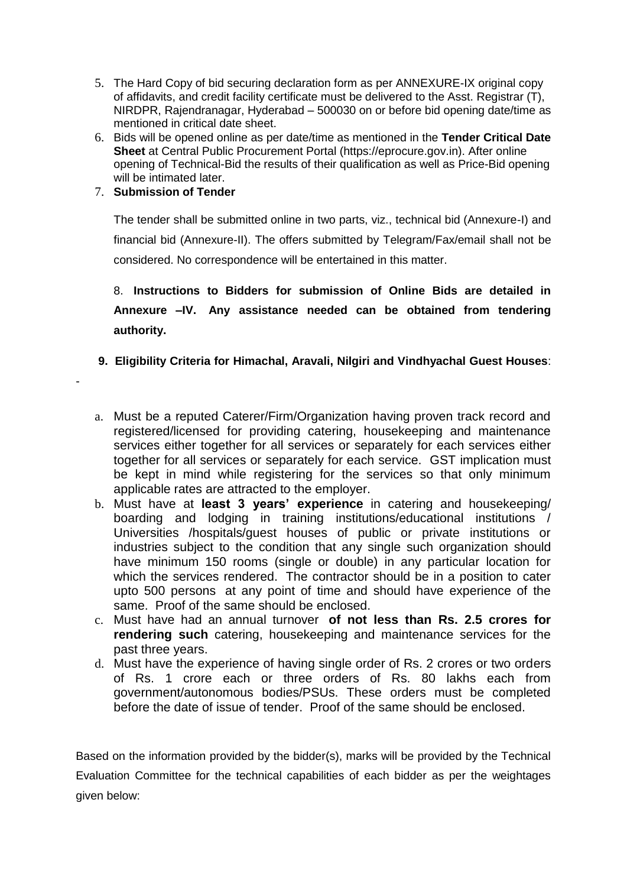- 5. The Hard Copy of bid securing declaration form as per ANNEXURE-IX original copy of affidavits, and credit facility certificate must be delivered to the Asst. Registrar (T), NIRDPR, Rajendranagar, Hyderabad – 500030 on or before bid opening date/time as mentioned in critical date sheet.
- 6. Bids will be opened online as per date/time as mentioned in the **Tender Critical Date Sheet** at Central Public Procurement Portal (https://eprocure.gov.in). After online opening of Technical-Bid the results of their qualification as well as Price-Bid opening will be intimated later.

# 7. **Submission of Tender**

-

The tender shall be submitted online in two parts, viz., technical bid (Annexure-I) and financial bid (Annexure-II). The offers submitted by Telegram/Fax/email shall not be considered. No correspondence will be entertained in this matter.

8. **Instructions to Bidders for submission of Online Bids are detailed in Annexure –IV. Any assistance needed can be obtained from tendering authority.**

- **9. Eligibility Criteria for Himachal, Aravali, Nilgiri and Vindhyachal Guest Houses**:
- a. Must be a reputed Caterer/Firm/Organization having proven track record and registered/licensed for providing catering, housekeeping and maintenance services either together for all services or separately for each services either together for all services or separately for each service. GST implication must be kept in mind while registering for the services so that only minimum applicable rates are attracted to the employer.
- b. Must have at **least 3 years' experience** in catering and housekeeping/ boarding and lodging in training institutions/educational institutions / Universities /hospitals/guest houses of public or private institutions or industries subject to the condition that any single such organization should have minimum 150 rooms (single or double) in any particular location for which the services rendered. The contractor should be in a position to cater upto 500 persons at any point of time and should have experience of the same. Proof of the same should be enclosed.
- c. Must have had an annual turnover **of not less than Rs. 2.5 crores for rendering such** catering, housekeeping and maintenance services for the past three years.
- d. Must have the experience of having single order of Rs. 2 crores or two orders of Rs. 1 crore each or three orders of Rs. 80 lakhs each from government/autonomous bodies/PSUs. These orders must be completed before the date of issue of tender. Proof of the same should be enclosed.

Based on the information provided by the bidder(s), marks will be provided by the Technical Evaluation Committee for the technical capabilities of each bidder as per the weightages given below: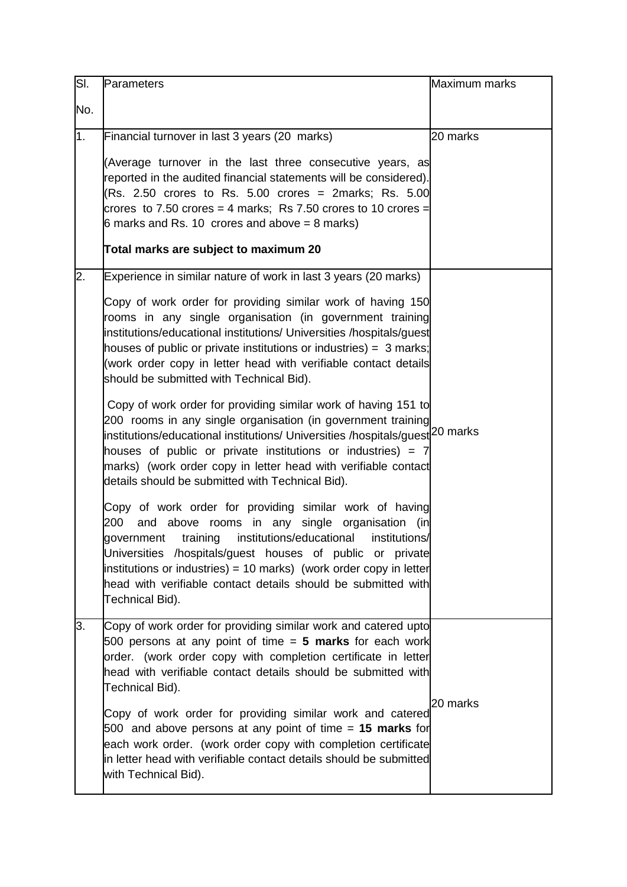| SI.            | Parameters                                                                                                                                                                                                                                                                                                                                                                                                                                                                                                                                                                                                                                                                                                                                                                                                                                                                                                                                                                                                                                                                                                                                                                                                                                                                                     | Maximum marks |
|----------------|------------------------------------------------------------------------------------------------------------------------------------------------------------------------------------------------------------------------------------------------------------------------------------------------------------------------------------------------------------------------------------------------------------------------------------------------------------------------------------------------------------------------------------------------------------------------------------------------------------------------------------------------------------------------------------------------------------------------------------------------------------------------------------------------------------------------------------------------------------------------------------------------------------------------------------------------------------------------------------------------------------------------------------------------------------------------------------------------------------------------------------------------------------------------------------------------------------------------------------------------------------------------------------------------|---------------|
| No.            |                                                                                                                                                                                                                                                                                                                                                                                                                                                                                                                                                                                                                                                                                                                                                                                                                                                                                                                                                                                                                                                                                                                                                                                                                                                                                                |               |
| 1 <sub>1</sub> | Financial turnover in last 3 years (20 marks)                                                                                                                                                                                                                                                                                                                                                                                                                                                                                                                                                                                                                                                                                                                                                                                                                                                                                                                                                                                                                                                                                                                                                                                                                                                  | 20 marks      |
|                | (Average turnover in the last three consecutive years, as<br>reported in the audited financial statements will be considered).<br>(Rs. 2.50 crores to Rs. 5.00 crores = 2marks; Rs. 5.00<br>crores to 7.50 crores = 4 marks; Rs 7.50 crores to 10 crores =<br>6 marks and Rs. 10 crores and above $= 8$ marks)<br>Total marks are subject to maximum 20                                                                                                                                                                                                                                                                                                                                                                                                                                                                                                                                                                                                                                                                                                                                                                                                                                                                                                                                        |               |
| 2.             | Experience in similar nature of work in last 3 years (20 marks)<br>Copy of work order for providing similar work of having 150<br>rooms in any single organisation (in government training<br>institutions/educational institutions/ Universities /hospitals/guest<br>houses of public or private institutions or industries) = $3$ marks;<br>(work order copy in letter head with verifiable contact details<br>should be submitted with Technical Bid).<br>Copy of work order for providing similar work of having 151 to<br>200 rooms in any single organisation (in government training<br>institutions/educational institutions/ Universities /hospitals/guest <sup> 20</sup> marks<br>houses of public or private institutions or industries) = $7$<br>marks) (work order copy in letter head with verifiable contact<br>details should be submitted with Technical Bid).<br>Copy of work order for providing similar work of having<br>and above rooms in any single organisation (in<br>200<br>institutions/educational<br>institutions/<br>government training<br>Universities /hospitals/guest houses of public or private<br>institutions or industries) = 10 marks) (work order copy in letter<br>head with verifiable contact details should be submitted with<br>Technical Bid). |               |
| 3.             | Copy of work order for providing similar work and catered upto<br>500 persons at any point of time = 5 marks for each work<br>order. (work order copy with completion certificate in letter<br>head with verifiable contact details should be submitted with<br>Technical Bid).<br>Copy of work order for providing similar work and catered<br>500 and above persons at any point of time = 15 marks for<br>each work order. (work order copy with completion certificate<br>in letter head with verifiable contact details should be submitted<br>with Technical Bid).                                                                                                                                                                                                                                                                                                                                                                                                                                                                                                                                                                                                                                                                                                                       | 20 marks      |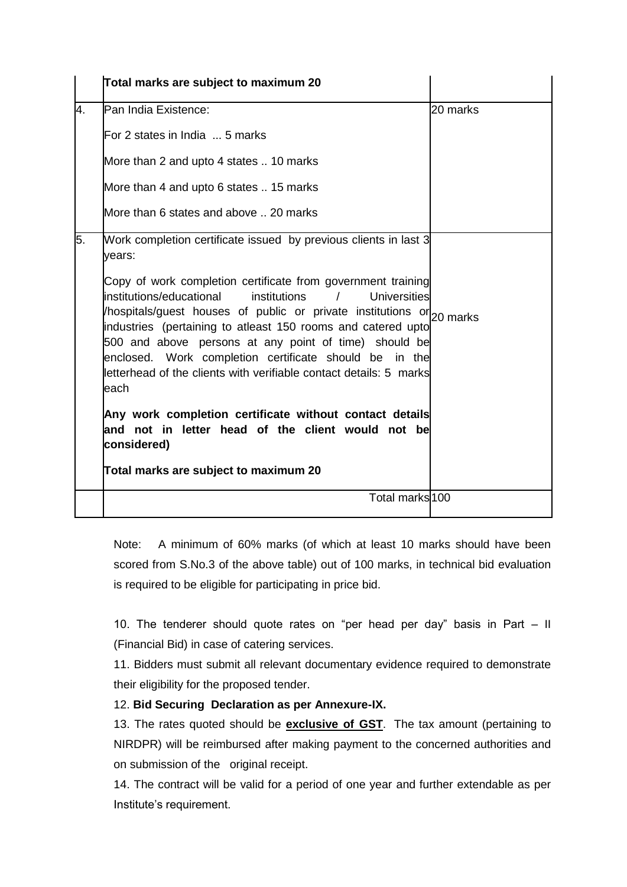|    | Total marks are subject to maximum 20                                                                                                                                                                                                                                                                                                                                                                                                                                                                                                                                     |          |
|----|---------------------------------------------------------------------------------------------------------------------------------------------------------------------------------------------------------------------------------------------------------------------------------------------------------------------------------------------------------------------------------------------------------------------------------------------------------------------------------------------------------------------------------------------------------------------------|----------|
| 4. | Pan India Existence:                                                                                                                                                                                                                                                                                                                                                                                                                                                                                                                                                      | 20 marks |
|    | IFor 2 states in India  5 marks                                                                                                                                                                                                                                                                                                                                                                                                                                                                                                                                           |          |
|    | More than 2 and upto 4 states  10 marks                                                                                                                                                                                                                                                                                                                                                                                                                                                                                                                                   |          |
|    | More than 4 and upto 6 states  15 marks                                                                                                                                                                                                                                                                                                                                                                                                                                                                                                                                   |          |
|    | More than 6 states and above  20 marks                                                                                                                                                                                                                                                                                                                                                                                                                                                                                                                                    |          |
| 5. | Work completion certificate issued by previous clients in last 3<br>years:<br>Copy of work completion certificate from government training<br>institutions/educational<br>institutions<br>$\prime$<br>Universities<br>/hospitals/guest houses of public or private institutions or $ _{20\text{ marks}}$<br>industries (pertaining to atleast 150 rooms and catered upto<br>500 and above persons at any point of time) should be<br>enclosed. Work completion certificate should be in the<br>letterhead of the clients with verifiable contact details: 5 marks<br>each |          |
|    | Any work completion certificate without contact details<br>land not in letter head of the client would not bel<br>considered)<br>Total marks are subject to maximum 20                                                                                                                                                                                                                                                                                                                                                                                                    |          |
|    | Total marks <sup>100</sup>                                                                                                                                                                                                                                                                                                                                                                                                                                                                                                                                                |          |

Note: A minimum of 60% marks (of which at least 10 marks should have been scored from S.No.3 of the above table) out of 100 marks, in technical bid evaluation is required to be eligible for participating in price bid.

10. The tenderer should quote rates on "per head per day" basis in Part – II (Financial Bid) in case of catering services.

11. Bidders must submit all relevant documentary evidence required to demonstrate their eligibility for the proposed tender.

### 12. **Bid Securing Declaration as per Annexure-IX.**

13. The rates quoted should be **exclusive of GST**. The tax amount (pertaining to NIRDPR) will be reimbursed after making payment to the concerned authorities and on submission of the original receipt.

14. The contract will be valid for a period of one year and further extendable as per Institute's requirement.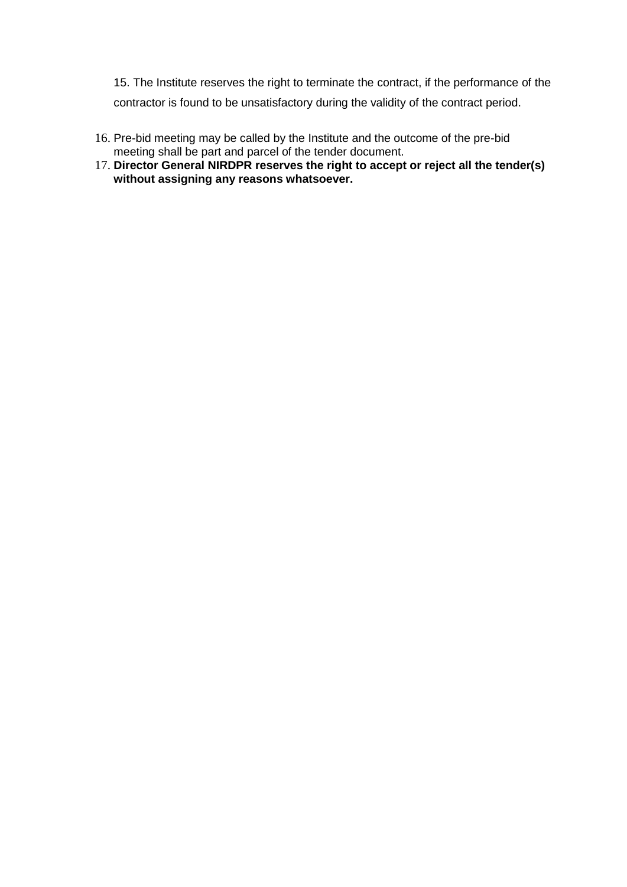15. The Institute reserves the right to terminate the contract, if the performance of the contractor is found to be unsatisfactory during the validity of the contract period.

- 16. Pre-bid meeting may be called by the Institute and the outcome of the pre-bid meeting shall be part and parcel of the tender document.
- 17. **Director General NIRDPR reserves the right to accept or reject all the tender(s) without assigning any reasons whatsoever.**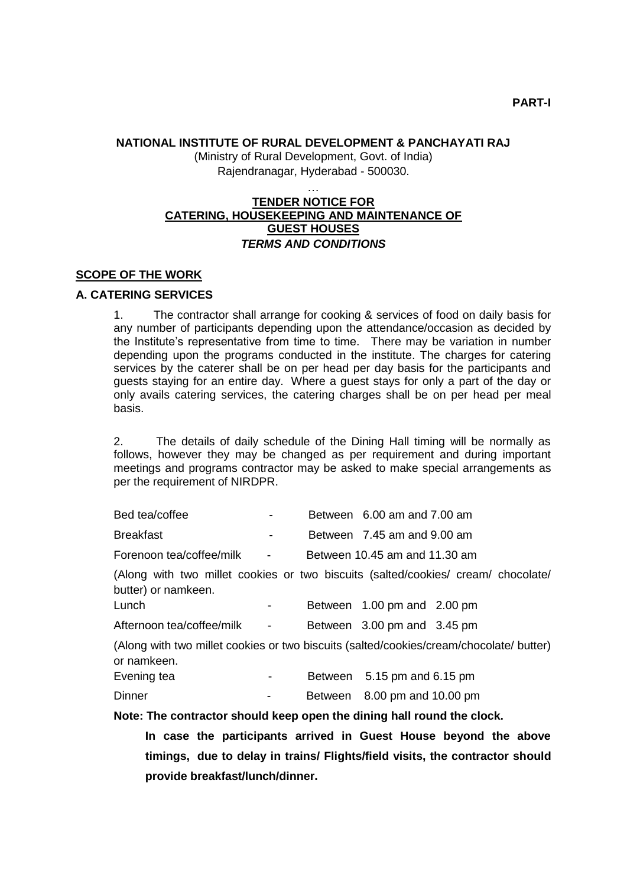### **NATIONAL INSTITUTE OF RURAL DEVELOPMENT & PANCHAYATI RAJ**

(Ministry of Rural Development, Govt. of India) Rajendranagar, Hyderabad - 500030.

### … **TENDER NOTICE FOR CATERING, HOUSEKEEPING AND MAINTENANCE OF GUEST HOUSES** *TERMS AND CONDITIONS*

### **SCOPE OF THE WORK**

#### **A. CATERING SERVICES**

1. The contractor shall arrange for cooking & services of food on daily basis for any number of participants depending upon the attendance/occasion as decided by the Institute's representative from time to time. There may be variation in number depending upon the programs conducted in the institute. The charges for catering services by the caterer shall be on per head per day basis for the participants and guests staying for an entire day. Where a guest stays for only a part of the day or only avails catering services, the catering charges shall be on per head per meal basis.

2. The details of daily schedule of the Dining Hall timing will be normally as follows, however they may be changed as per requirement and during important meetings and programs contractor may be asked to make special arrangements as per the requirement of NIRDPR.

| Bed tea/coffee                                                                                           |                          | Between 6.00 am and 7.00 am   |  |
|----------------------------------------------------------------------------------------------------------|--------------------------|-------------------------------|--|
| <b>Breakfast</b>                                                                                         | $\overline{\phantom{a}}$ | Between 7.45 am and 9.00 am   |  |
| Forenoon tea/coffee/milk                                                                                 | $\blacksquare$           | Between 10.45 am and 11.30 am |  |
| (Along with two millet cookies or two biscuits (salted/cookies/ cream/ chocolate/<br>butter) or namkeen. |                          |                               |  |
| Lunch                                                                                                    | -                        | Between 1.00 pm and 2.00 pm   |  |
| Afternoon tea/coffee/milk                                                                                | $\overline{\phantom{a}}$ | Between 3.00 pm and 3.45 pm   |  |
| (Along with two millet cookies or two biscuits (salted/cookies/cream/chocolate/ butter)<br>or namkeen.   |                          |                               |  |

| Evening tea | $\sim$        | Between 5.15 pm and 6.15 pm  |
|-------------|---------------|------------------------------|
| Dinner      | $\sim$ $\sim$ | Between 8.00 pm and 10.00 pm |

#### **Note: The contractor should keep open the dining hall round the clock.**

**In case the participants arrived in Guest House beyond the above timings, due to delay in trains/ Flights/field visits, the contractor should provide breakfast/lunch/dinner.**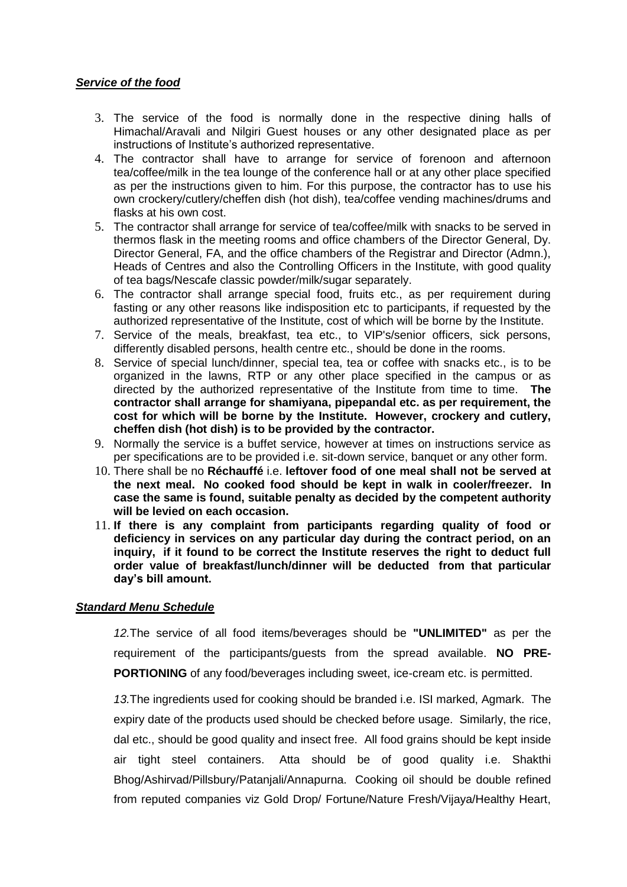#### *Service of the food*

- 3. The service of the food is normally done in the respective dining halls of Himachal/Aravali and Nilgiri Guest houses or any other designated place as per instructions of Institute's authorized representative.
- 4. The contractor shall have to arrange for service of forenoon and afternoon tea/coffee/milk in the tea lounge of the conference hall or at any other place specified as per the instructions given to him. For this purpose, the contractor has to use his own crockery/cutlery/cheffen dish (hot dish), tea/coffee vending machines/drums and flasks at his own cost.
- 5. The contractor shall arrange for service of tea/coffee/milk with snacks to be served in thermos flask in the meeting rooms and office chambers of the Director General, Dy. Director General, FA, and the office chambers of the Registrar and Director (Admn.), Heads of Centres and also the Controlling Officers in the Institute, with good quality of tea bags/Nescafe classic powder/milk/sugar separately.
- 6. The contractor shall arrange special food, fruits etc., as per requirement during fasting or any other reasons like indisposition etc to participants, if requested by the authorized representative of the Institute, cost of which will be borne by the Institute.
- 7. Service of the meals, breakfast, tea etc., to VIP's/senior officers, sick persons, differently disabled persons, health centre etc., should be done in the rooms.
- 8. Service of special lunch/dinner, special tea, tea or coffee with snacks etc., is to be organized in the lawns, RTP or any other place specified in the campus or as directed by the authorized representative of the Institute from time to time. **The contractor shall arrange for shamiyana, pipepandal etc. as per requirement, the cost for which will be borne by the Institute. However, crockery and cutlery, cheffen dish (hot dish) is to be provided by the contractor.**
- 9. Normally the service is a buffet service, however at times on instructions service as per specifications are to be provided i.e. sit-down service, banquet or any other form.
- 10. There shall be no **Réchauffé** i.e. **leftover food of one meal shall not be served at the next meal. No cooked food should be kept in walk in cooler/freezer. In case the same is found, suitable penalty as decided by the competent authority will be levied on each occasion.**
- 11. **If there is any complaint from participants regarding quality of food or deficiency in services on any particular day during the contract period, on an inquiry, if it found to be correct the Institute reserves the right to deduct full order value of breakfast/lunch/dinner will be deducted from that particular day's bill amount.**

#### *Standard Menu Schedule*

*12.*The service of all food items/beverages should be **"UNLIMITED"** as per the requirement of the participants/guests from the spread available. **NO PRE-PORTIONING** of any food/beverages including sweet, ice-cream etc. is permitted.

*13.*The ingredients used for cooking should be branded i.e. ISI marked, Agmark. The expiry date of the products used should be checked before usage. Similarly, the rice, dal etc., should be good quality and insect free. All food grains should be kept inside air tight steel containers. Atta should be of good quality i.e. Shakthi Bhog/Ashirvad/Pillsbury/Patanjali/Annapurna. Cooking oil should be double refined from reputed companies viz Gold Drop/ Fortune/Nature Fresh/Vijaya/Healthy Heart,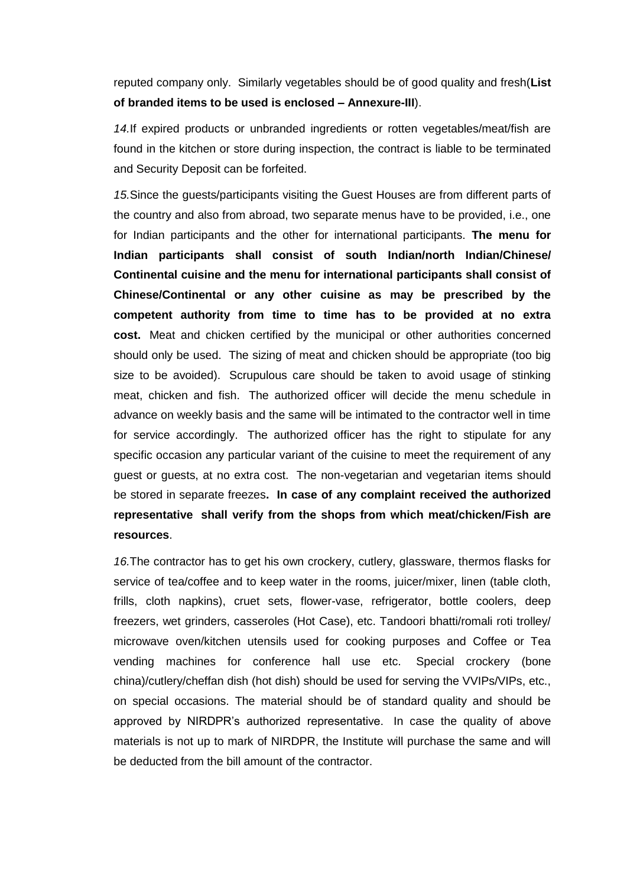reputed company only. Similarly vegetables should be of good quality and fresh(**List of branded items to be used is enclosed – Annexure-III**).

*14.*If expired products or unbranded ingredients or rotten vegetables/meat/fish are found in the kitchen or store during inspection, the contract is liable to be terminated and Security Deposit can be forfeited.

*15.*Since the guests/participants visiting the Guest Houses are from different parts of the country and also from abroad, two separate menus have to be provided, i.e., one for Indian participants and the other for international participants. **The menu for Indian participants shall consist of south Indian/north Indian/Chinese/ Continental cuisine and the menu for international participants shall consist of Chinese/Continental or any other cuisine as may be prescribed by the competent authority from time to time has to be provided at no extra cost.** Meat and chicken certified by the municipal or other authorities concerned should only be used. The sizing of meat and chicken should be appropriate (too big size to be avoided). Scrupulous care should be taken to avoid usage of stinking meat, chicken and fish. The authorized officer will decide the menu schedule in advance on weekly basis and the same will be intimated to the contractor well in time for service accordingly. The authorized officer has the right to stipulate for any specific occasion any particular variant of the cuisine to meet the requirement of any guest or guests, at no extra cost. The non-vegetarian and vegetarian items should be stored in separate freezes**. In case of any complaint received the authorized representative shall verify from the shops from which meat/chicken/Fish are resources**.

*16.*The contractor has to get his own crockery, cutlery, glassware, thermos flasks for service of tea/coffee and to keep water in the rooms, juicer/mixer, linen (table cloth, frills, cloth napkins), cruet sets, flower-vase, refrigerator, bottle coolers, deep freezers, wet grinders, casseroles (Hot Case), etc. Tandoori bhatti/romali roti trolley/ microwave oven/kitchen utensils used for cooking purposes and Coffee or Tea vending machines for conference hall use etc. Special crockery (bone china)/cutlery/cheffan dish (hot dish) should be used for serving the VVIPs/VIPs, etc., on special occasions. The material should be of standard quality and should be approved by NIRDPR's authorized representative. In case the quality of above materials is not up to mark of NIRDPR, the Institute will purchase the same and will be deducted from the bill amount of the contractor.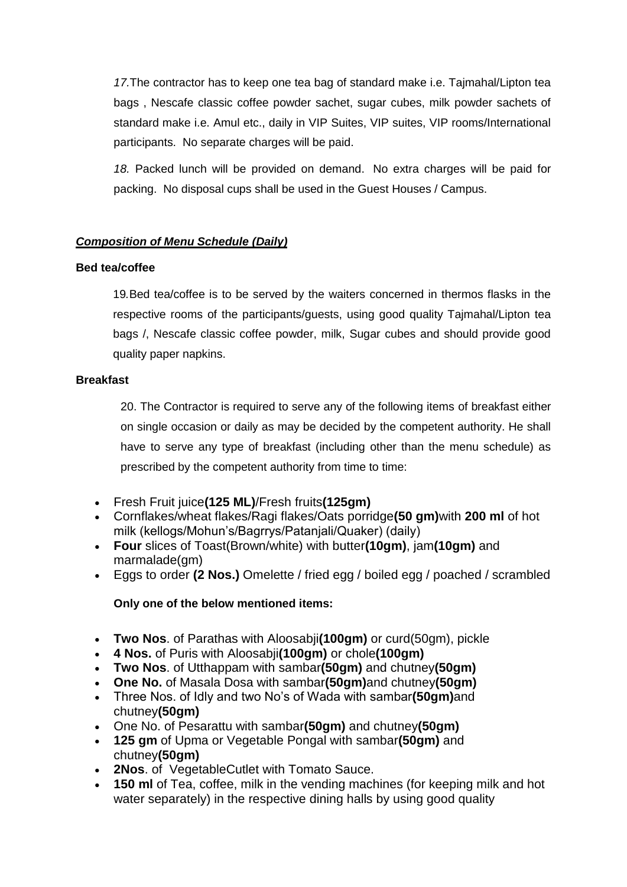*17.*The contractor has to keep one tea bag of standard make i.e. Tajmahal/Lipton tea bags , Nescafe classic coffee powder sachet, sugar cubes, milk powder sachets of standard make i.e. Amul etc., daily in VIP Suites, VIP suites, VIP rooms/International participants. No separate charges will be paid.

*18.* Packed lunch will be provided on demand. No extra charges will be paid for packing. No disposal cups shall be used in the Guest Houses / Campus.

### *Composition of Menu Schedule (Daily)*

### **Bed tea/coffee**

19*.*Bed tea/coffee is to be served by the waiters concerned in thermos flasks in the respective rooms of the participants/guests, using good quality Tajmahal/Lipton tea bags /, Nescafe classic coffee powder, milk, Sugar cubes and should provide good quality paper napkins.

### **Breakfast**

20. The Contractor is required to serve any of the following items of breakfast either on single occasion or daily as may be decided by the competent authority. He shall have to serve any type of breakfast (including other than the menu schedule) as prescribed by the competent authority from time to time:

- Fresh Fruit juice**(125 ML)**/Fresh fruits**(125gm)**
- Cornflakes/wheat flakes/Ragi flakes/Oats porridge**(50 gm)**with **200 ml** of hot milk (kellogs/Mohun's/Bagrrys/Patanjali/Quaker) (daily)
- **Four** slices of Toast(Brown/white) with butter**(10gm)**, jam**(10gm)** and marmalade(gm)
- Eggs to order **(2 Nos.)** Omelette / fried egg / boiled egg / poached / scrambled

### **Only one of the below mentioned items:**

- **Two Nos**. of Parathas with Aloosabji**(100gm)** or curd(50gm), pickle
- **4 Nos.** of Puris with Aloosabji**(100gm)** or chole**(100gm)**
- **Two Nos**. of Utthappam with sambar**(50gm)** and chutney**(50gm)**
- **One No.** of Masala Dosa with sambar**(50gm)**and chutney**(50gm)**
- Three Nos. of Idly and two No's of Wada with sambar**(50gm)**and chutney**(50gm)**
- One No. of Pesarattu with sambar**(50gm)** and chutney**(50gm)**
- **125 gm** of Upma or Vegetable Pongal with sambar**(50gm)** and chutney**(50gm)**
- **2Nos**. of VegetableCutlet with Tomato Sauce.
- **150 ml** of Tea, coffee, milk in the vending machines (for keeping milk and hot water separately) in the respective dining halls by using good quality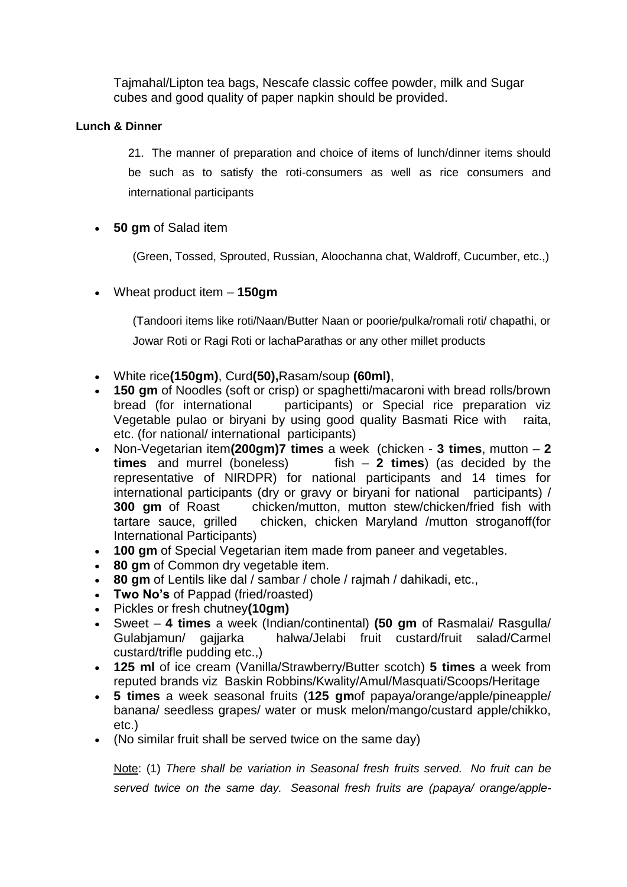Tajmahal/Lipton tea bags, Nescafe classic coffee powder, milk and Sugar cubes and good quality of paper napkin should be provided.

### **Lunch & Dinner**

21. The manner of preparation and choice of items of lunch/dinner items should be such as to satisfy the roti-consumers as well as rice consumers and international participants

**50 gm** of Salad item

(Green, Tossed, Sprouted, Russian, Aloochanna chat, Waldroff, Cucumber, etc.,)

Wheat product item – **150gm**

(Tandoori items like roti/Naan/Butter Naan or poorie/pulka/romali roti/ chapathi, or Jowar Roti or Ragi Roti or lachaParathas or any other millet products

- White rice**(150gm)**, Curd**(50),**Rasam/soup **(60ml)**,
- **150 gm** of Noodles (soft or crisp) or spaghetti/macaroni with bread rolls/brown bread (for international participants) or Special rice preparation viz Vegetable pulao or biryani by using good quality Basmati Rice with raita, etc. (for national/ international participants)
- Non-Vegetarian item**(200gm)7 times** a week (chicken **3 times**, mutton **2 times** and murrel (boneless) fish – **2 times**) (as decided by the representative of NIRDPR) for national participants and 14 times for international participants (dry or gravy or biryani for national participants) / **300 gm** of Roast chicken/mutton, mutton stew/chicken/fried fish with tartare sauce, grilled chicken, chicken Maryland /mutton stroganoff(for International Participants)
- **100 gm** of Special Vegetarian item made from paneer and vegetables.
- **80 gm** of Common dry vegetable item.
- **80 gm** of Lentils like dal / sambar / chole / rajmah / dahikadi, etc.,
- **Two No's** of Pappad (fried/roasted)
- Pickles or fresh chutney**(10gm)**
- Sweet **4 times** a week (Indian/continental) **(50 gm** of Rasmalai/ Rasgulla/ Gulabjamun/ gajjarka halwa/Jelabi fruit custard/fruit salad/Carmel custard/trifle pudding etc.,)
- **125 ml** of ice cream (Vanilla/Strawberry/Butter scotch) **5 times** a week from reputed brands viz Baskin Robbins/Kwality/Amul/Masquati/Scoops/Heritage
- **5 times** a week seasonal fruits (**125 gm**of papaya/orange/apple/pineapple/ banana/ seedless grapes/ water or musk melon/mango/custard apple/chikko, etc.)
- (No similar fruit shall be served twice on the same day)

Note: (1) *There shall be variation in Seasonal fresh fruits served. No fruit can be served twice on the same day. Seasonal fresh fruits are (papaya/ orange/apple-*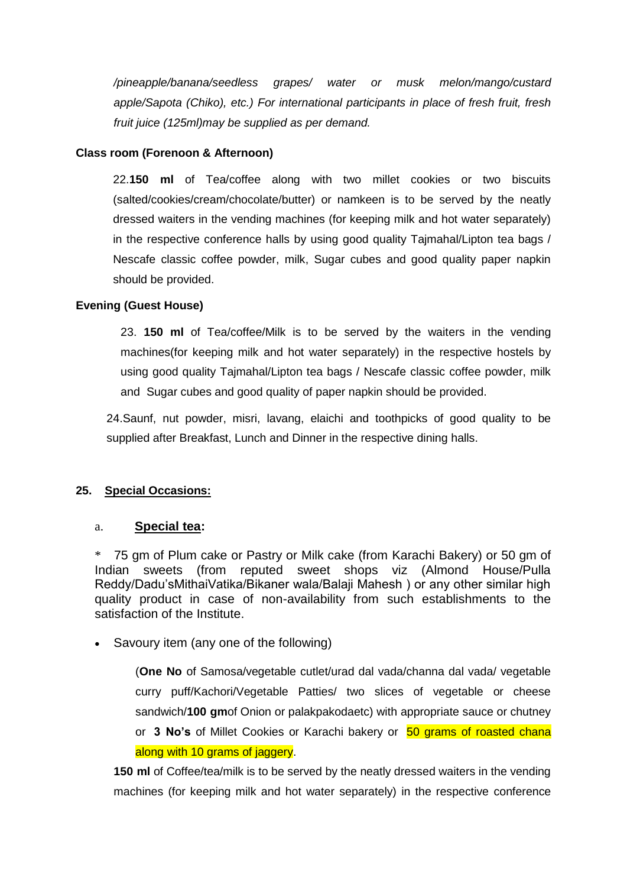*/pineapple/banana/seedless grapes/ water or musk melon/mango/custard apple/Sapota (Chiko), etc.) For international participants in place of fresh fruit, fresh fruit juice (125ml)may be supplied as per demand.*

### **Class room (Forenoon & Afternoon)**

22.**150 ml** of Tea/coffee along with two millet cookies or two biscuits (salted/cookies/cream/chocolate/butter) or namkeen is to be served by the neatly dressed waiters in the vending machines (for keeping milk and hot water separately) in the respective conference halls by using good quality Tajmahal/Lipton tea bags / Nescafe classic coffee powder, milk, Sugar cubes and good quality paper napkin should be provided.

### **Evening (Guest House)**

23. **150 ml** of Tea/coffee/Milk is to be served by the waiters in the vending machines(for keeping milk and hot water separately) in the respective hostels by using good quality Tajmahal/Lipton tea bags / Nescafe classic coffee powder, milk and Sugar cubes and good quality of paper napkin should be provided.

24.Saunf, nut powder, misri, lavang, elaichi and toothpicks of good quality to be supplied after Breakfast, Lunch and Dinner in the respective dining halls.

### **25. Special Occasions:**

#### a. **Special tea:**

\* 75 gm of Plum cake or Pastry or Milk cake (from Karachi Bakery) or 50 gm of Indian sweets (from reputed sweet shops viz (Almond House/Pulla Reddy/Dadu'sMithaiVatika/Bikaner wala/Balaji Mahesh ) or any other similar high quality product in case of non-availability from such establishments to the satisfaction of the Institute.

• Savoury item (any one of the following)

(**One No** of Samosa/vegetable cutlet/urad dal vada/channa dal vada/ vegetable curry puff/Kachori/Vegetable Patties/ two slices of vegetable or cheese sandwich/**100 gm**of Onion or palakpakodaetc) with appropriate sauce or chutney or **3 No's** of Millet Cookies or Karachi bakery or 50 grams of roasted chana along with 10 grams of jaggery.

**150 ml** of Coffee/tea/milk is to be served by the neatly dressed waiters in the vending machines (for keeping milk and hot water separately) in the respective conference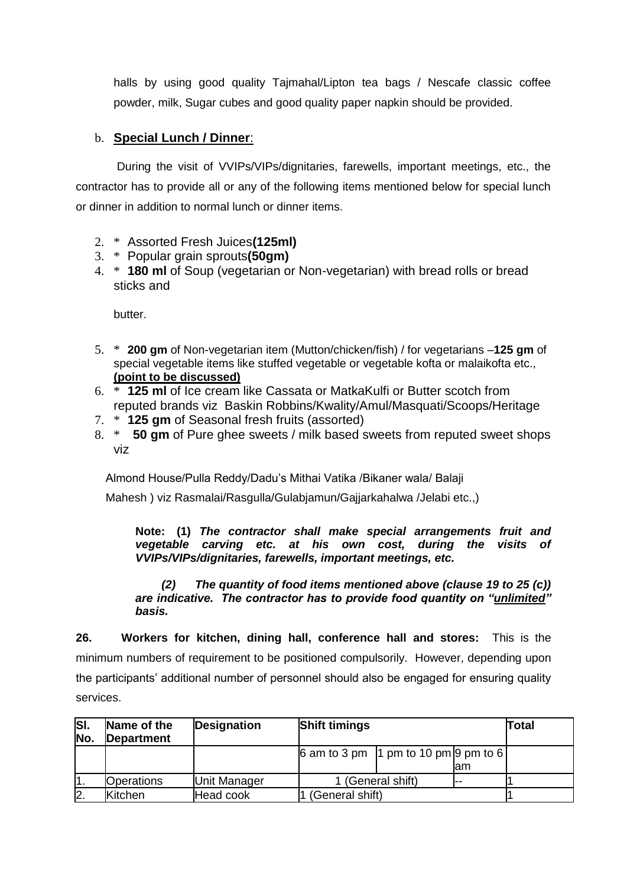halls by using good quality Tajmahal/Lipton tea bags / Nescafe classic coffee powder, milk, Sugar cubes and good quality paper napkin should be provided.

# b. **Special Lunch / Dinner**:

During the visit of VVIPs/VIPs/dignitaries, farewells, important meetings, etc., the contractor has to provide all or any of the following items mentioned below for special lunch or dinner in addition to normal lunch or dinner items.

- 2. \* Assorted Fresh Juices**(125ml)**
- 3. \* Popular grain sprouts**(50gm)**
- 4. \* **180 ml** of Soup (vegetarian or Non-vegetarian) with bread rolls or bread sticks and

butter.

- 5. \* **200 gm** of Non-vegetarian item (Mutton/chicken/fish) / for vegetarians –**125 gm** of special vegetable items like stuffed vegetable or vegetable kofta or malaikofta etc., **(point to be discussed)**
- 6. \* **125 ml** of Ice cream like Cassata or MatkaKulfi or Butter scotch from reputed brands viz Baskin Robbins/Kwality/Amul/Masquati/Scoops/Heritage
- 7. \* **125 gm** of Seasonal fresh fruits (assorted)
- 8. \* **50 gm** of Pure ghee sweets / milk based sweets from reputed sweet shops viz

Almond House/Pulla Reddy/Dadu's Mithai Vatika /Bikaner wala/ Balaji

Mahesh ) viz Rasmalai/Rasgulla/Gulabjamun/Gajjarkahalwa /Jelabi etc.,)

**Note: (1)** *The contractor shall make special arrangements fruit and vegetable carving etc. at his own cost, during the visits of VVIPs/VIPs/dignitaries, farewells, important meetings, etc.*

*(2) The quantity of food items mentioned above (clause 19 to 25 (c)) are indicative. The contractor has to provide food quantity on "unlimited" basis.*

**26. Workers for kitchen, dining hall, conference hall and stores:** This is the minimum numbers of requirement to be positioned compulsorily. However, depending upon the participants' additional number of personnel should also be engaged for ensuring quality services.

| $\overline{\mathbf{S}}$<br>No. | Name of the<br><b>Department</b> | <b>Designation</b> | <b>Shift timings</b>                                                   |                   | <b>Total</b> |  |
|--------------------------------|----------------------------------|--------------------|------------------------------------------------------------------------|-------------------|--------------|--|
|                                |                                  |                    | $\left  6 \text{ am to } 3 \text{ pm} \right $ 1 pm to 10 pm 9 pm to 6 |                   | lam          |  |
|                                | <b>Operations</b>                | Unit Manager       |                                                                        | 1 (General shift) |              |  |
| $\mathsf{2}$                   | <b>K</b> itchen                  | Head cook          | (General shift)                                                        |                   |              |  |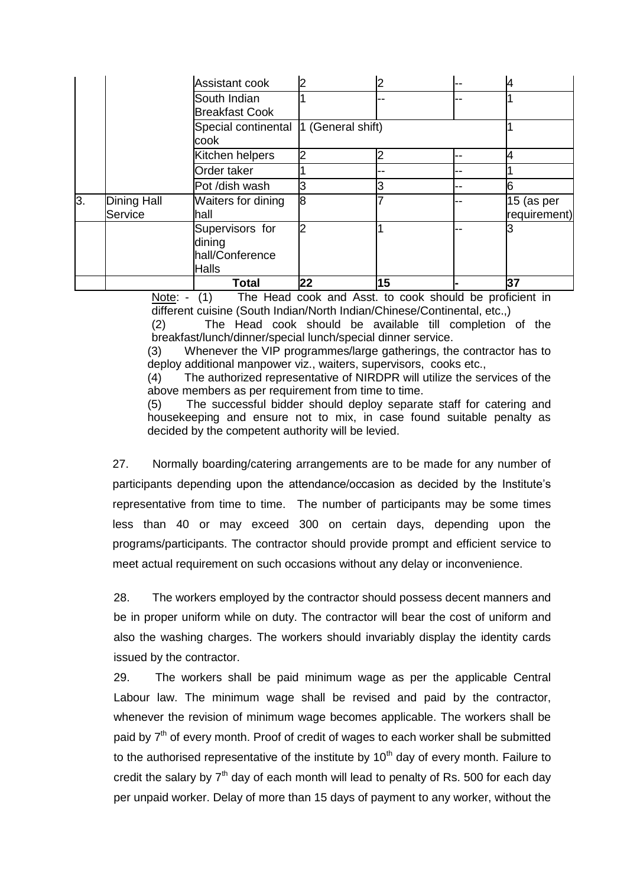|    |                        | Total                                                        | 22 | 15 |    | 37                         |
|----|------------------------|--------------------------------------------------------------|----|----|----|----------------------------|
|    |                        | Supervisors for<br>dining<br>hall/Conference<br><b>Halls</b> | 2  |    |    |                            |
| 3. | Dining Hall<br>Service | Waiters for dining<br>lhall                                  | l8 |    |    | 15 (as per<br>requirement) |
|    |                        | Pot /dish wash                                               | 3  |    |    |                            |
|    |                        | Order taker                                                  |    |    |    |                            |
|    |                        | Kitchen helpers                                              | 2  |    |    | 4                          |
|    |                        | Special continental  1 (General shift)<br>cook               |    |    |    |                            |
|    |                        | South Indian<br><b>Breakfast Cook</b>                        |    |    | -- |                            |
|    |                        | Assistant cook                                               |    |    | -- |                            |

Note: - (1) The Head cook and Asst. to cook should be proficient in different cuisine (South Indian/North Indian/Chinese/Continental, etc.,)

(2) The Head cook should be available till completion of the breakfast/lunch/dinner/special lunch/special dinner service.

(3) Whenever the VIP programmes/large gatherings, the contractor has to deploy additional manpower viz., waiters, supervisors, cooks etc.,

(4) The authorized representative of NIRDPR will utilize the services of the above members as per requirement from time to time.

(5) The successful bidder should deploy separate staff for catering and housekeeping and ensure not to mix, in case found suitable penalty as decided by the competent authority will be levied.

27. Normally boarding/catering arrangements are to be made for any number of participants depending upon the attendance/occasion as decided by the Institute's representative from time to time. The number of participants may be some times less than 40 or may exceed 300 on certain days, depending upon the programs/participants. The contractor should provide prompt and efficient service to meet actual requirement on such occasions without any delay or inconvenience.

28. The workers employed by the contractor should possess decent manners and be in proper uniform while on duty. The contractor will bear the cost of uniform and also the washing charges. The workers should invariably display the identity cards issued by the contractor.

29. The workers shall be paid minimum wage as per the applicable Central Labour law. The minimum wage shall be revised and paid by the contractor, whenever the revision of minimum wage becomes applicable. The workers shall be paid by  $7<sup>th</sup>$  of every month. Proof of credit of wages to each worker shall be submitted to the authorised representative of the institute by  $10<sup>th</sup>$  day of every month. Failure to credit the salary by  $7<sup>th</sup>$  day of each month will lead to penalty of Rs. 500 for each day per unpaid worker. Delay of more than 15 days of payment to any worker, without the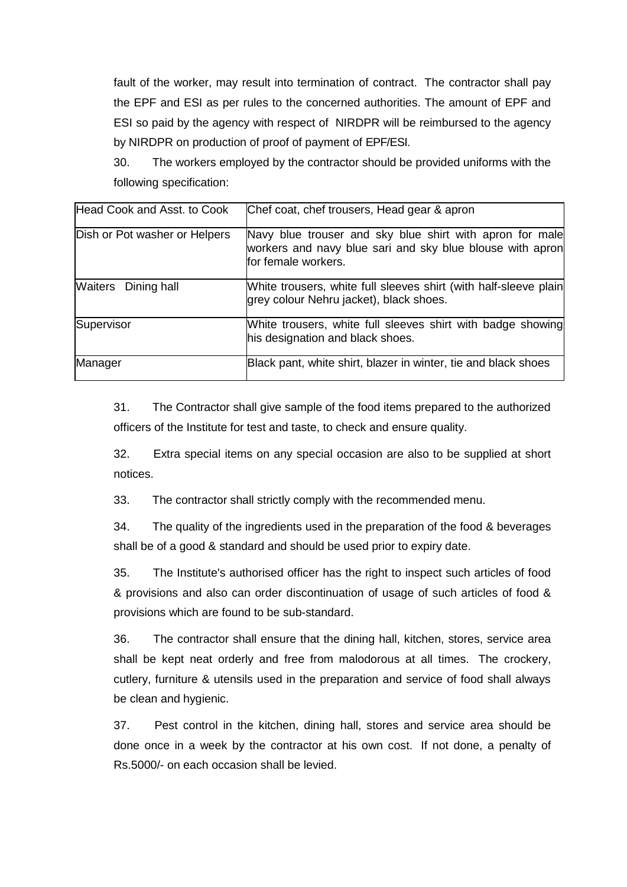fault of the worker, may result into termination of contract. The contractor shall pay the EPF and ESI as per rules to the concerned authorities. The amount of EPF and ESI so paid by the agency with respect of NIRDPR will be reimbursed to the agency by NIRDPR on production of proof of payment of EPF/ESI.

30. The workers employed by the contractor should be provided uniforms with the following specification:

| Head Cook and Asst. to Cook   | Chef coat, chef trousers, Head gear & apron                                                                                                  |
|-------------------------------|----------------------------------------------------------------------------------------------------------------------------------------------|
| Dish or Pot washer or Helpers | Navy blue trouser and sky blue shirt with apron for male<br>workers and navy blue sari and sky blue blouse with apron<br>for female workers. |
| <b>Waiters</b> Dining hall    | White trousers, white full sleeves shirt (with half-sleeve plain<br>grey colour Nehru jacket), black shoes.                                  |
| Supervisor                    | White trousers, white full sleeves shirt with badge showing<br>his designation and black shoes.                                              |
| Manager                       | Black pant, white shirt, blazer in winter, tie and black shoes                                                                               |

31. The Contractor shall give sample of the food items prepared to the authorized officers of the Institute for test and taste, to check and ensure quality.

32. Extra special items on any special occasion are also to be supplied at short notices.

33. The contractor shall strictly comply with the recommended menu.

34. The quality of the ingredients used in the preparation of the food & beverages shall be of a good & standard and should be used prior to expiry date.

35. The Institute's authorised officer has the right to inspect such articles of food & provisions and also can order discontinuation of usage of such articles of food & provisions which are found to be sub-standard.

36. The contractor shall ensure that the dining hall, kitchen, stores, service area shall be kept neat orderly and free from malodorous at all times. The crockery, cutlery, furniture & utensils used in the preparation and service of food shall always be clean and hygienic.

37. Pest control in the kitchen, dining hall, stores and service area should be done once in a week by the contractor at his own cost. If not done, a penalty of Rs.5000/- on each occasion shall be levied.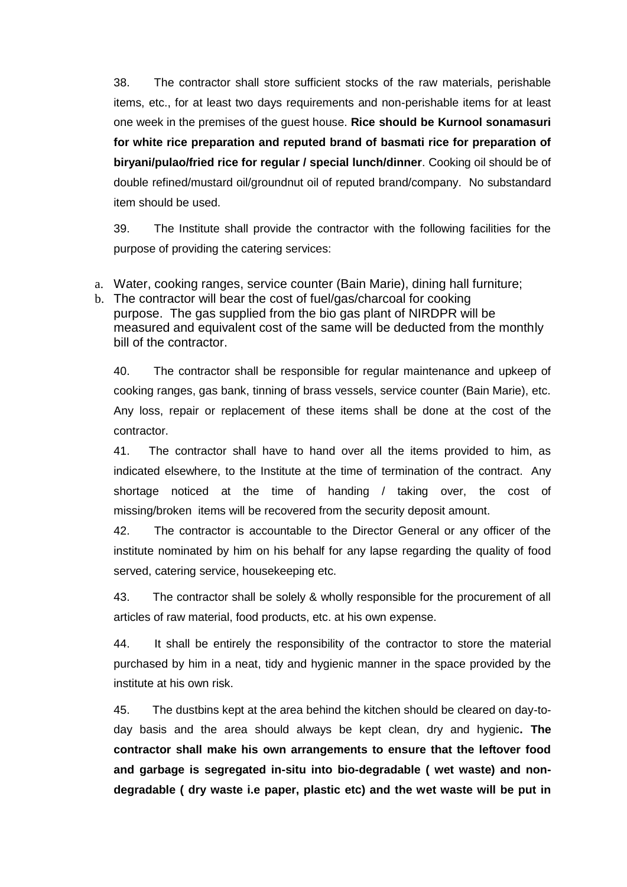38. The contractor shall store sufficient stocks of the raw materials, perishable items, etc., for at least two days requirements and non-perishable items for at least one week in the premises of the guest house. **Rice should be Kurnool sonamasuri for white rice preparation and reputed brand of basmati rice for preparation of biryani/pulao/fried rice for regular / special lunch/dinner**. Cooking oil should be of double refined/mustard oil/groundnut oil of reputed brand/company. No substandard item should be used.

39. The Institute shall provide the contractor with the following facilities for the purpose of providing the catering services:

- a. Water, cooking ranges, service counter (Bain Marie), dining hall furniture;
- b. The contractor will bear the cost of fuel/gas/charcoal for cooking purpose. The gas supplied from the bio gas plant of NIRDPR will be measured and equivalent cost of the same will be deducted from the monthly bill of the contractor.

40. The contractor shall be responsible for regular maintenance and upkeep of cooking ranges, gas bank, tinning of brass vessels, service counter (Bain Marie), etc. Any loss, repair or replacement of these items shall be done at the cost of the contractor.

41. The contractor shall have to hand over all the items provided to him, as indicated elsewhere, to the Institute at the time of termination of the contract. Any shortage noticed at the time of handing / taking over, the cost of missing/broken items will be recovered from the security deposit amount.

42. The contractor is accountable to the Director General or any officer of the institute nominated by him on his behalf for any lapse regarding the quality of food served, catering service, housekeeping etc.

43. The contractor shall be solely & wholly responsible for the procurement of all articles of raw material, food products, etc. at his own expense.

44. It shall be entirely the responsibility of the contractor to store the material purchased by him in a neat, tidy and hygienic manner in the space provided by the institute at his own risk.

45. The dustbins kept at the area behind the kitchen should be cleared on day-today basis and the area should always be kept clean, dry and hygienic**. The contractor shall make his own arrangements to ensure that the leftover food and garbage is segregated in-situ into bio-degradable ( wet waste) and nondegradable ( dry waste i.e paper, plastic etc) and the wet waste will be put in**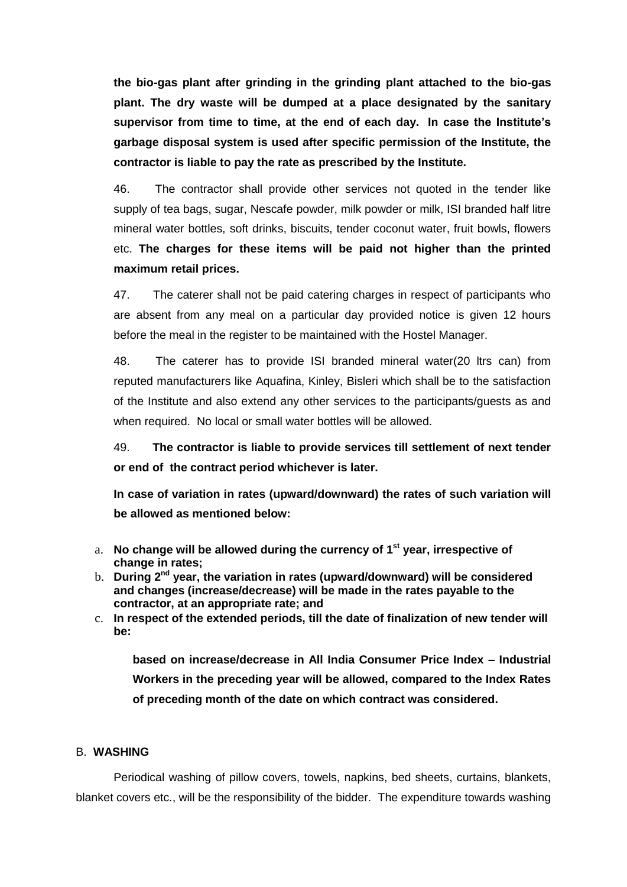**the bio-gas plant after grinding in the grinding plant attached to the bio-gas plant. The dry waste will be dumped at a place designated by the sanitary supervisor from time to time, at the end of each day. In case the Institute's garbage disposal system is used after specific permission of the Institute, the contractor is liable to pay the rate as prescribed by the Institute.**

46. The contractor shall provide other services not quoted in the tender like supply of tea bags, sugar, Nescafe powder, milk powder or milk, ISI branded half litre mineral water bottles, soft drinks, biscuits, tender coconut water, fruit bowls, flowers etc. **The charges for these items will be paid not higher than the printed maximum retail prices.**

47. The caterer shall not be paid catering charges in respect of participants who are absent from any meal on a particular day provided notice is given 12 hours before the meal in the register to be maintained with the Hostel Manager.

48. The caterer has to provide ISI branded mineral water(20 ltrs can) from reputed manufacturers like Aquafina, Kinley, Bisleri which shall be to the satisfaction of the Institute and also extend any other services to the participants/guests as and when required. No local or small water bottles will be allowed.

49. **The contractor is liable to provide services till settlement of next tender or end of the contract period whichever is later.**

**In case of variation in rates (upward/downward) the rates of such variation will be allowed as mentioned below:**

- a. **No change will be allowed during the currency of 1st year, irrespective of change in rates;**
- b. **During 2nd year, the variation in rates (upward/downward) will be considered and changes (increase/decrease) will be made in the rates payable to the contractor, at an appropriate rate; and**
- c. **In respect of the extended periods, till the date of finalization of new tender will be:**

**based on increase/decrease in All India Consumer Price Index – Industrial Workers in the preceding year will be allowed, compared to the Index Rates of preceding month of the date on which contract was considered.**

#### B. **WASHING**

Periodical washing of pillow covers, towels, napkins, bed sheets, curtains, blankets, blanket covers etc., will be the responsibility of the bidder. The expenditure towards washing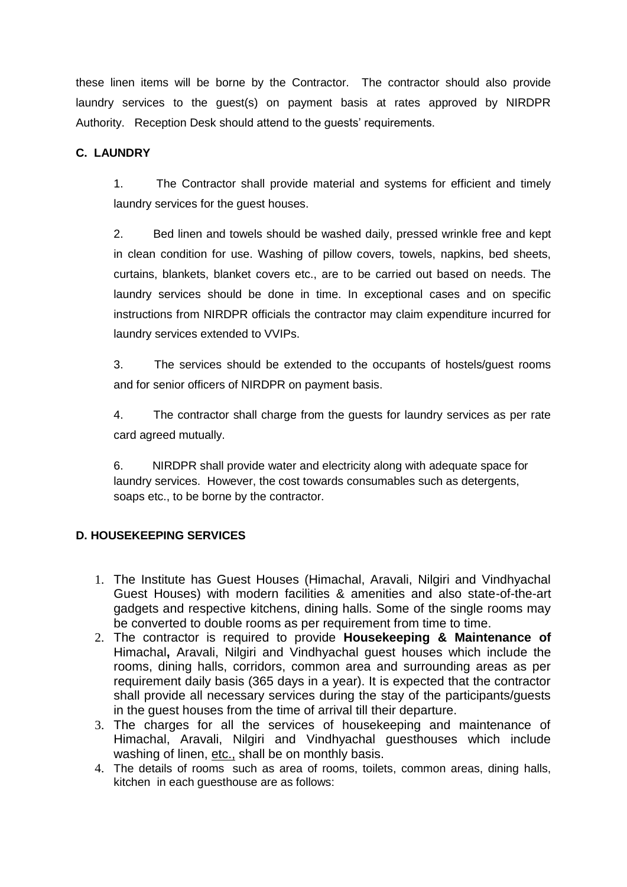these linen items will be borne by the Contractor. The contractor should also provide laundry services to the guest(s) on payment basis at rates approved by NIRDPR Authority. Reception Desk should attend to the guests' requirements.

# **C. LAUNDRY**

1. The Contractor shall provide material and systems for efficient and timely laundry services for the guest houses.

2. Bed linen and towels should be washed daily, pressed wrinkle free and kept in clean condition for use. Washing of pillow covers, towels, napkins, bed sheets, curtains, blankets, blanket covers etc., are to be carried out based on needs. The laundry services should be done in time. In exceptional cases and on specific instructions from NIRDPR officials the contractor may claim expenditure incurred for laundry services extended to VVIPs.

3. The services should be extended to the occupants of hostels/guest rooms and for senior officers of NIRDPR on payment basis.

4. The contractor shall charge from the guests for laundry services as per rate card agreed mutually.

6. NIRDPR shall provide water and electricity along with adequate space for laundry services. However, the cost towards consumables such as detergents, soaps etc., to be borne by the contractor.

### **D. HOUSEKEEPING SERVICES**

- 1. The Institute has Guest Houses (Himachal, Aravali, Nilgiri and Vindhyachal Guest Houses) with modern facilities & amenities and also state-of-the-art gadgets and respective kitchens, dining halls. Some of the single rooms may be converted to double rooms as per requirement from time to time.
- 2. The contractor is required to provide **Housekeeping & Maintenance of**  Himachal**,** Aravali, Nilgiri and Vindhyachal guest houses which include the rooms, dining halls, corridors, common area and surrounding areas as per requirement daily basis (365 days in a year). It is expected that the contractor shall provide all necessary services during the stay of the participants/guests in the guest houses from the time of arrival till their departure.
- 3. The charges for all the services of housekeeping and maintenance of Himachal, Aravali, Nilgiri and Vindhyachal guesthouses which include washing of linen, etc., shall be on monthly basis.
- 4. The details of rooms such as area of rooms, toilets, common areas, dining halls, kitchen in each guesthouse are as follows: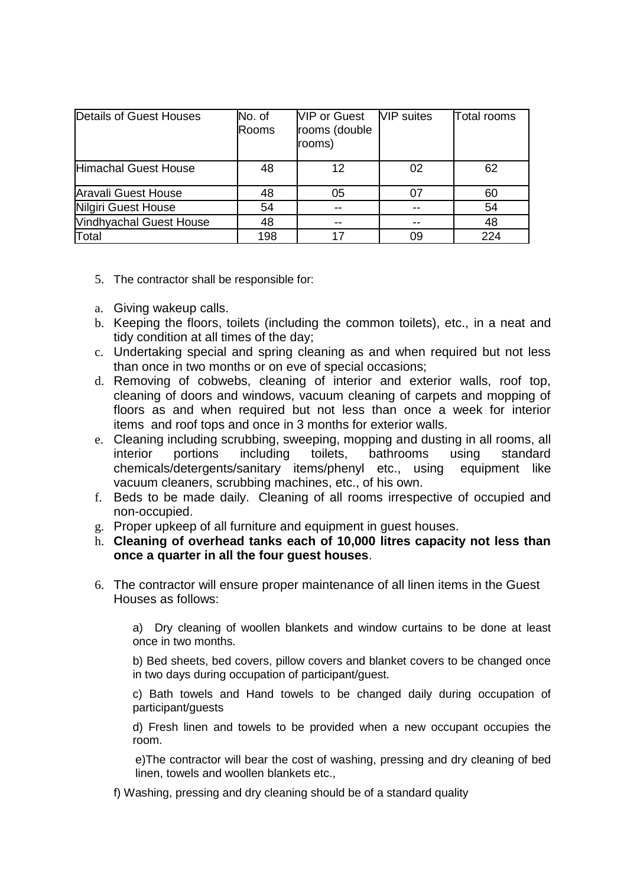| Details of Guest Houses        | No. of<br><b>Rooms</b> | <b>VIP or Guest</b><br>rooms (double<br>rooms) | <b>VIP</b> suites | Total rooms |
|--------------------------------|------------------------|------------------------------------------------|-------------------|-------------|
| <b>Himachal Guest House</b>    | 48                     | 12                                             | 02                | 62          |
| Aravali Guest House            | 48                     | 05                                             | 07                | 60          |
| Nilgiri Guest House            | 54                     | --                                             |                   | 54          |
| <b>Vindhyachal Guest House</b> | 48                     |                                                |                   | 48          |
| Total                          | 198                    |                                                | 09                | 224         |

- 5. The contractor shall be responsible for:
- a. Giving wakeup calls.
- b. Keeping the floors, toilets (including the common toilets), etc., in a neat and tidy condition at all times of the day;
- c. Undertaking special and spring cleaning as and when required but not less than once in two months or on eve of special occasions;
- d. Removing of cobwebs, cleaning of interior and exterior walls, roof top, cleaning of doors and windows, vacuum cleaning of carpets and mopping of floors as and when required but not less than once a week for interior items and roof tops and once in 3 months for exterior walls.
- e. Cleaning including scrubbing, sweeping, mopping and dusting in all rooms, all interior portions including toilets, bathrooms using standard chemicals/detergents/sanitary items/phenyl etc., using equipment like vacuum cleaners, scrubbing machines, etc., of his own.
- f. Beds to be made daily. Cleaning of all rooms irrespective of occupied and non-occupied.
- g. Proper upkeep of all furniture and equipment in guest houses.
- h. **Cleaning of overhead tanks each of 10,000 litres capacity not less than once a quarter in all the four guest houses**.
- 6. The contractor will ensure proper maintenance of all linen items in the Guest Houses as follows:

a) Dry cleaning of woollen blankets and window curtains to be done at least once in two months.

b) Bed sheets, bed covers, pillow covers and blanket covers to be changed once in two days during occupation of participant/guest.

c) Bath towels and Hand towels to be changed daily during occupation of participant/guests

d) Fresh linen and towels to be provided when a new occupant occupies the room.

e)The contractor will bear the cost of washing, pressing and dry cleaning of bed linen, towels and woollen blankets etc.,

f) Washing, pressing and dry cleaning should be of a standard quality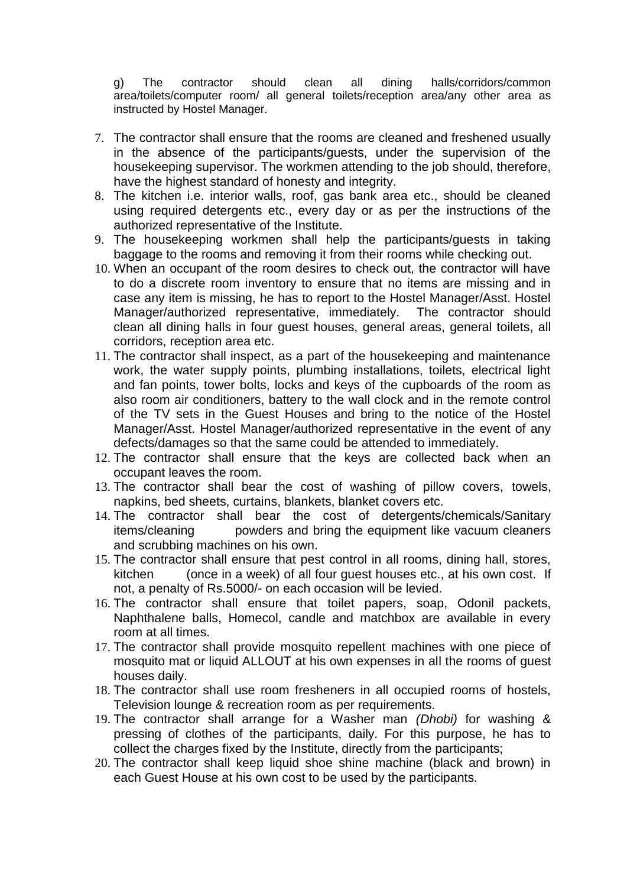g) The contractor should clean all dining halls/corridors/common area/toilets/computer room/ all general toilets/reception area/any other area as instructed by Hostel Manager.

- 7. The contractor shall ensure that the rooms are cleaned and freshened usually in the absence of the participants/guests, under the supervision of the housekeeping supervisor. The workmen attending to the job should, therefore, have the highest standard of honesty and integrity.
- 8. The kitchen i.e. interior walls, roof, gas bank area etc., should be cleaned using required detergents etc., every day or as per the instructions of the authorized representative of the Institute.
- 9. The housekeeping workmen shall help the participants/guests in taking baggage to the rooms and removing it from their rooms while checking out.
- 10. When an occupant of the room desires to check out, the contractor will have to do a discrete room inventory to ensure that no items are missing and in case any item is missing, he has to report to the Hostel Manager/Asst. Hostel Manager/authorized representative, immediately. The contractor should clean all dining halls in four guest houses, general areas, general toilets, all corridors, reception area etc.
- 11. The contractor shall inspect, as a part of the housekeeping and maintenance work, the water supply points, plumbing installations, toilets, electrical light and fan points, tower bolts, locks and keys of the cupboards of the room as also room air conditioners, battery to the wall clock and in the remote control of the TV sets in the Guest Houses and bring to the notice of the Hostel Manager/Asst. Hostel Manager/authorized representative in the event of any defects/damages so that the same could be attended to immediately.
- 12. The contractor shall ensure that the keys are collected back when an occupant leaves the room.
- 13. The contractor shall bear the cost of washing of pillow covers, towels, napkins, bed sheets, curtains, blankets, blanket covers etc.
- 14. The contractor shall bear the cost of detergents/chemicals/Sanitary items/cleaning powders and bring the equipment like vacuum cleaners and scrubbing machines on his own.
- 15. The contractor shall ensure that pest control in all rooms, dining hall, stores, kitchen (once in a week) of all four guest houses etc., at his own cost. If not, a penalty of Rs.5000/- on each occasion will be levied.
- 16. The contractor shall ensure that toilet papers, soap, Odonil packets, Naphthalene balls, Homecol, candle and matchbox are available in every room at all times.
- 17. The contractor shall provide mosquito repellent machines with one piece of mosquito mat or liquid ALLOUT at his own expenses in all the rooms of guest houses daily.
- 18. The contractor shall use room fresheners in all occupied rooms of hostels, Television lounge & recreation room as per requirements.
- 19. The contractor shall arrange for a Washer man *(Dhobi)* for washing & pressing of clothes of the participants, daily. For this purpose, he has to collect the charges fixed by the Institute, directly from the participants;
- 20. The contractor shall keep liquid shoe shine machine (black and brown) in each Guest House at his own cost to be used by the participants.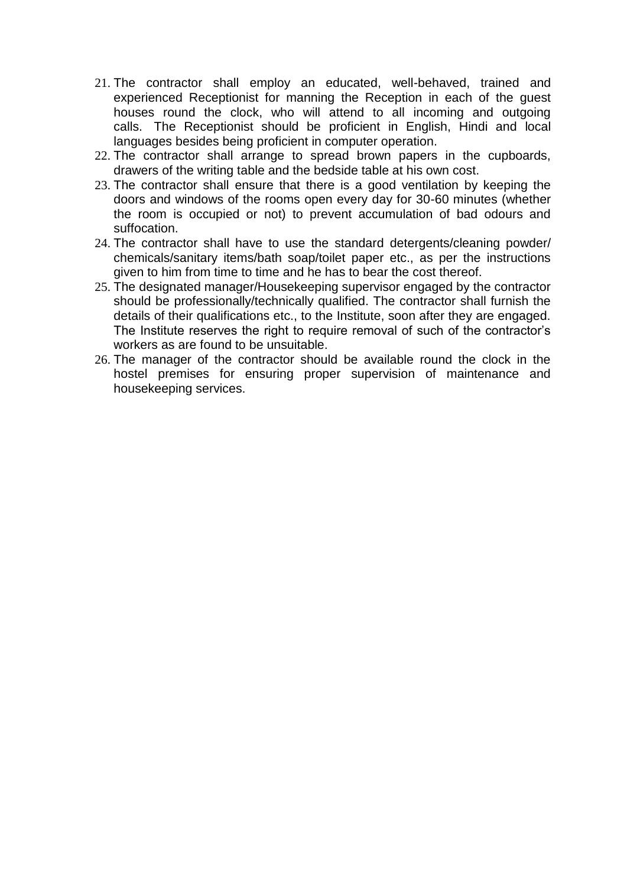- 21. The contractor shall employ an educated, well-behaved, trained and experienced Receptionist for manning the Reception in each of the guest houses round the clock, who will attend to all incoming and outgoing calls. The Receptionist should be proficient in English, Hindi and local languages besides being proficient in computer operation.
- 22. The contractor shall arrange to spread brown papers in the cupboards, drawers of the writing table and the bedside table at his own cost.
- 23. The contractor shall ensure that there is a good ventilation by keeping the doors and windows of the rooms open every day for 30-60 minutes (whether the room is occupied or not) to prevent accumulation of bad odours and suffocation.
- 24. The contractor shall have to use the standard detergents/cleaning powder/ chemicals/sanitary items/bath soap/toilet paper etc., as per the instructions given to him from time to time and he has to bear the cost thereof.
- 25. The designated manager/Housekeeping supervisor engaged by the contractor should be professionally/technically qualified. The contractor shall furnish the details of their qualifications etc., to the Institute, soon after they are engaged. The Institute reserves the right to require removal of such of the contractor's workers as are found to be unsuitable.
- 26. The manager of the contractor should be available round the clock in the hostel premises for ensuring proper supervision of maintenance and housekeeping services.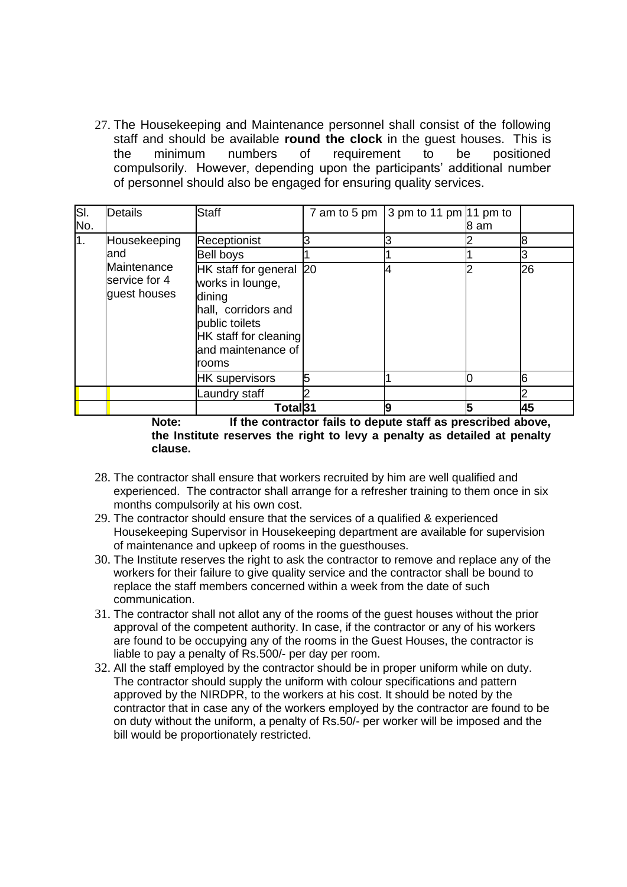27. The Housekeeping and Maintenance personnel shall consist of the following staff and should be available **round the clock** in the guest houses. This is the minimum numbers of requirement to be positioned compulsorily. However, depending upon the participants' additional number of personnel should also be engaged for ensuring quality services.

| SI.           | <b>Details</b>                                                       | <b>Staff</b>                                                                                                                                           | 7 am to 5 pm | $\frac{1}{2}$ 3 pm to 11 pm $\frac{1}{2}$ 11 pm to |      |    |
|---------------|----------------------------------------------------------------------|--------------------------------------------------------------------------------------------------------------------------------------------------------|--------------|----------------------------------------------------|------|----|
| No.           |                                                                      |                                                                                                                                                        |              |                                                    | 8 am |    |
| $\mathbf 1$ . | Housekeeping                                                         | Receptionist                                                                                                                                           |              |                                                    |      |    |
|               | land                                                                 | Bell boys                                                                                                                                              |              |                                                    |      |    |
|               | Maintenance<br>service for 4<br>guest houses                         | HK staff for general 20<br>works in lounge,<br>dining<br>hall, corridors and<br>public toilets<br>HK staff for cleaning<br>and maintenance of<br>rooms |              |                                                    |      | 26 |
|               |                                                                      | <b>HK</b> supervisors                                                                                                                                  | 5            |                                                    |      |    |
|               |                                                                      | aundry staff                                                                                                                                           |              |                                                    |      |    |
|               |                                                                      | Total <sup>31</sup>                                                                                                                                    |              | 19                                                 |      | 45 |
|               | If the contractor fails to denute staff as prescribed above<br>Note: |                                                                                                                                                        |              |                                                    |      |    |

**Note: If the contractor fails to depute staff as prescribed above, the Institute reserves the right to levy a penalty as detailed at penalty clause.**

- 28. The contractor shall ensure that workers recruited by him are well qualified and experienced. The contractor shall arrange for a refresher training to them once in six months compulsorily at his own cost.
- 29. The contractor should ensure that the services of a qualified & experienced Housekeeping Supervisor in Housekeeping department are available for supervision of maintenance and upkeep of rooms in the guesthouses.
- 30. The Institute reserves the right to ask the contractor to remove and replace any of the workers for their failure to give quality service and the contractor shall be bound to replace the staff members concerned within a week from the date of such communication.
- 31. The contractor shall not allot any of the rooms of the guest houses without the prior approval of the competent authority. In case, if the contractor or any of his workers are found to be occupying any of the rooms in the Guest Houses, the contractor is liable to pay a penalty of Rs.500/- per day per room.
- 32. All the staff employed by the contractor should be in proper uniform while on duty. The contractor should supply the uniform with colour specifications and pattern approved by the NIRDPR, to the workers at his cost. It should be noted by the contractor that in case any of the workers employed by the contractor are found to be on duty without the uniform, a penalty of Rs.50/- per worker will be imposed and the bill would be proportionately restricted.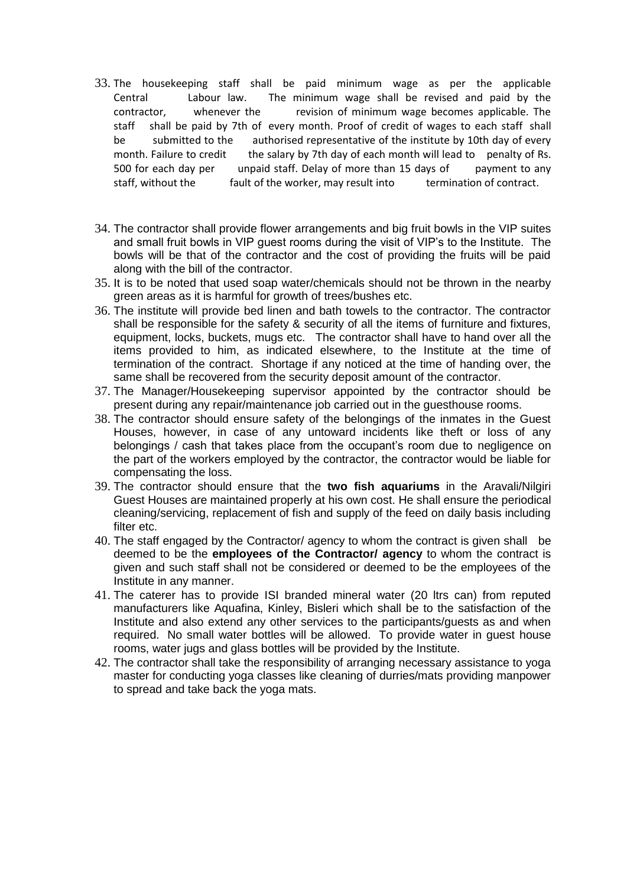- 33. The housekeeping staff shall be paid minimum wage as per the applicable Central Labour law. The minimum wage shall be revised and paid by the contractor, whenever the revision of minimum wage becomes applicable. The staff shall be paid by 7th of every month. Proof of credit of wages to each staff shall be submitted to the authorised representative of the institute by 10th day of every month. Failure to credit the salary by 7th day of each month will lead to penalty of Rs. 500 for each day per unpaid staff. Delay of more than 15 days of payment to any staff, without the fault of the worker, may result into termination of contract.
- 34. The contractor shall provide flower arrangements and big fruit bowls in the VIP suites and small fruit bowls in VIP guest rooms during the visit of VIP's to the Institute. The bowls will be that of the contractor and the cost of providing the fruits will be paid along with the bill of the contractor.
- 35. It is to be noted that used soap water/chemicals should not be thrown in the nearby green areas as it is harmful for growth of trees/bushes etc.
- 36. The institute will provide bed linen and bath towels to the contractor. The contractor shall be responsible for the safety & security of all the items of furniture and fixtures, equipment, locks, buckets, mugs etc. The contractor shall have to hand over all the items provided to him, as indicated elsewhere, to the Institute at the time of termination of the contract. Shortage if any noticed at the time of handing over, the same shall be recovered from the security deposit amount of the contractor.
- 37. The Manager/Housekeeping supervisor appointed by the contractor should be present during any repair/maintenance job carried out in the guesthouse rooms.
- 38. The contractor should ensure safety of the belongings of the inmates in the Guest Houses, however, in case of any untoward incidents like theft or loss of any belongings / cash that takes place from the occupant's room due to negligence on the part of the workers employed by the contractor, the contractor would be liable for compensating the loss.
- 39. The contractor should ensure that the **two fish aquariums** in the Aravali/Nilgiri Guest Houses are maintained properly at his own cost. He shall ensure the periodical cleaning/servicing, replacement of fish and supply of the feed on daily basis including filter etc.
- 40. The staff engaged by the Contractor/ agency to whom the contract is given shall be deemed to be the **employees of the Contractor/ agency** to whom the contract is given and such staff shall not be considered or deemed to be the employees of the Institute in any manner.
- 41. The caterer has to provide ISI branded mineral water (20 ltrs can) from reputed manufacturers like Aquafina, Kinley, Bisleri which shall be to the satisfaction of the Institute and also extend any other services to the participants/guests as and when required. No small water bottles will be allowed. To provide water in guest house rooms, water jugs and glass bottles will be provided by the Institute.
- 42. The contractor shall take the responsibility of arranging necessary assistance to yoga master for conducting yoga classes like cleaning of durries/mats providing manpower to spread and take back the yoga mats.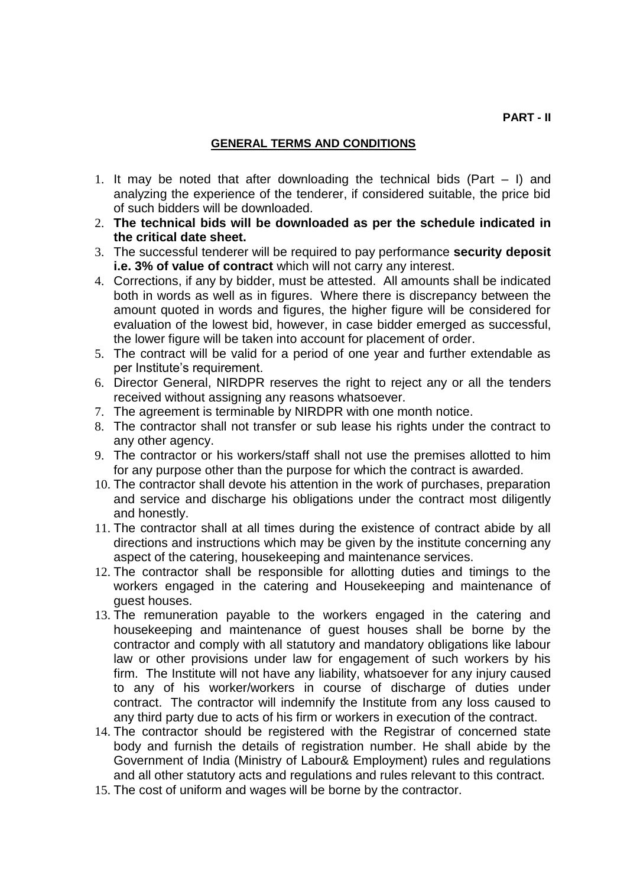# **GENERAL TERMS AND CONDITIONS**

- 1. It may be noted that after downloading the technical bids (Part I) and analyzing the experience of the tenderer, if considered suitable, the price bid of such bidders will be downloaded.
- 2. **The technical bids will be downloaded as per the schedule indicated in the critical date sheet.**
- 3. The successful tenderer will be required to pay performance **security deposit i.e. 3% of value of contract** which will not carry any interest.
- 4. Corrections, if any by bidder, must be attested. All amounts shall be indicated both in words as well as in figures. Where there is discrepancy between the amount quoted in words and figures, the higher figure will be considered for evaluation of the lowest bid, however, in case bidder emerged as successful, the lower figure will be taken into account for placement of order.
- 5. The contract will be valid for a period of one year and further extendable as per Institute's requirement.
- 6. Director General, NIRDPR reserves the right to reject any or all the tenders received without assigning any reasons whatsoever.
- 7. The agreement is terminable by NIRDPR with one month notice.
- 8. The contractor shall not transfer or sub lease his rights under the contract to any other agency.
- 9. The contractor or his workers/staff shall not use the premises allotted to him for any purpose other than the purpose for which the contract is awarded.
- 10. The contractor shall devote his attention in the work of purchases, preparation and service and discharge his obligations under the contract most diligently and honestly.
- 11. The contractor shall at all times during the existence of contract abide by all directions and instructions which may be given by the institute concerning any aspect of the catering, housekeeping and maintenance services.
- 12. The contractor shall be responsible for allotting duties and timings to the workers engaged in the catering and Housekeeping and maintenance of guest houses.
- 13. The remuneration payable to the workers engaged in the catering and housekeeping and maintenance of guest houses shall be borne by the contractor and comply with all statutory and mandatory obligations like labour law or other provisions under law for engagement of such workers by his firm. The Institute will not have any liability, whatsoever for any injury caused to any of his worker/workers in course of discharge of duties under contract. The contractor will indemnify the Institute from any loss caused to any third party due to acts of his firm or workers in execution of the contract.
- 14. The contractor should be registered with the Registrar of concerned state body and furnish the details of registration number. He shall abide by the Government of India (Ministry of Labour& Employment) rules and regulations and all other statutory acts and regulations and rules relevant to this contract.
- 15. The cost of uniform and wages will be borne by the contractor.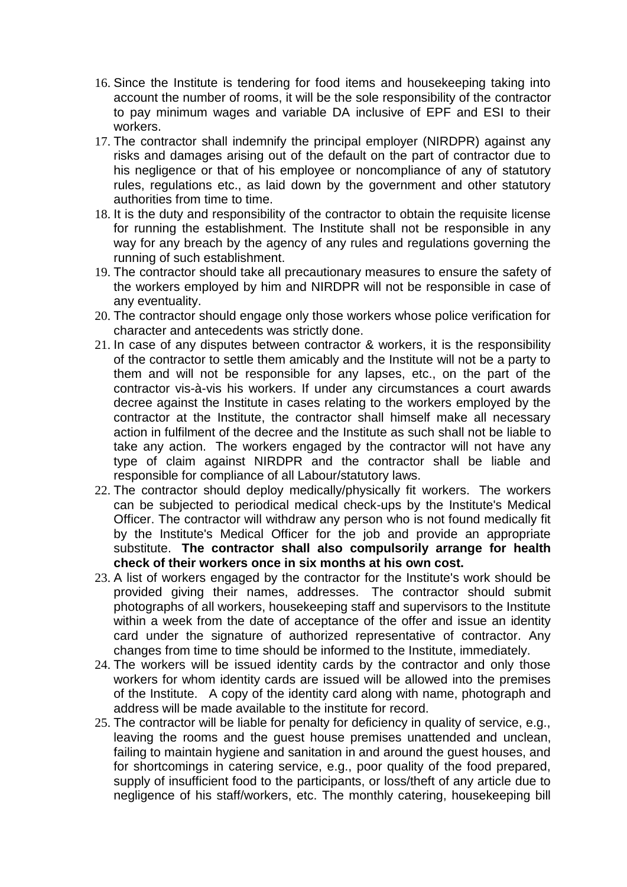- 16. Since the Institute is tendering for food items and housekeeping taking into account the number of rooms, it will be the sole responsibility of the contractor to pay minimum wages and variable DA inclusive of EPF and ESI to their workers.
- 17. The contractor shall indemnify the principal employer (NIRDPR) against any risks and damages arising out of the default on the part of contractor due to his negligence or that of his employee or noncompliance of any of statutory rules, regulations etc., as laid down by the government and other statutory authorities from time to time.
- 18. It is the duty and responsibility of the contractor to obtain the requisite license for running the establishment. The Institute shall not be responsible in any way for any breach by the agency of any rules and regulations governing the running of such establishment.
- 19. The contractor should take all precautionary measures to ensure the safety of the workers employed by him and NIRDPR will not be responsible in case of any eventuality.
- 20. The contractor should engage only those workers whose police verification for character and antecedents was strictly done.
- 21. In case of any disputes between contractor & workers, it is the responsibility of the contractor to settle them amicably and the Institute will not be a party to them and will not be responsible for any lapses, etc., on the part of the contractor vis-à-vis his workers. If under any circumstances a court awards decree against the Institute in cases relating to the workers employed by the contractor at the Institute, the contractor shall himself make all necessary action in fulfilment of the decree and the Institute as such shall not be liable to take any action. The workers engaged by the contractor will not have any type of claim against NIRDPR and the contractor shall be liable and responsible for compliance of all Labour/statutory laws.
- 22. The contractor should deploy medically/physically fit workers. The workers can be subjected to periodical medical check-ups by the Institute's Medical Officer. The contractor will withdraw any person who is not found medically fit by the Institute's Medical Officer for the job and provide an appropriate substitute. **The contractor shall also compulsorily arrange for health check of their workers once in six months at his own cost.**
- 23. A list of workers engaged by the contractor for the Institute's work should be provided giving their names, addresses. The contractor should submit photographs of all workers, housekeeping staff and supervisors to the Institute within a week from the date of acceptance of the offer and issue an identity card under the signature of authorized representative of contractor. Any changes from time to time should be informed to the Institute, immediately.
- 24. The workers will be issued identity cards by the contractor and only those workers for whom identity cards are issued will be allowed into the premises of the Institute. A copy of the identity card along with name, photograph and address will be made available to the institute for record.
- 25. The contractor will be liable for penalty for deficiency in quality of service, e.g., leaving the rooms and the guest house premises unattended and unclean, failing to maintain hygiene and sanitation in and around the guest houses, and for shortcomings in catering service, e.g., poor quality of the food prepared, supply of insufficient food to the participants, or loss/theft of any article due to negligence of his staff/workers, etc. The monthly catering, housekeeping bill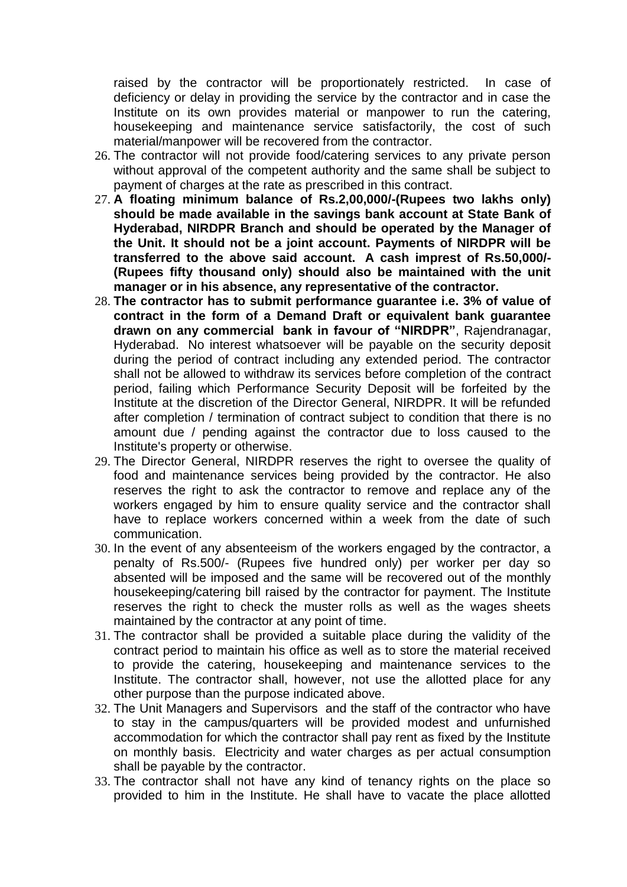raised by the contractor will be proportionately restricted. In case of deficiency or delay in providing the service by the contractor and in case the Institute on its own provides material or manpower to run the catering, housekeeping and maintenance service satisfactorily, the cost of such material/manpower will be recovered from the contractor.

- 26. The contractor will not provide food/catering services to any private person without approval of the competent authority and the same shall be subject to payment of charges at the rate as prescribed in this contract.
- 27. **A floating minimum balance of Rs.2,00,000/-(Rupees two lakhs only) should be made available in the savings bank account at State Bank of Hyderabad, NIRDPR Branch and should be operated by the Manager of the Unit. It should not be a joint account. Payments of NIRDPR will be transferred to the above said account. A cash imprest of Rs.50,000/- (Rupees fifty thousand only) should also be maintained with the unit manager or in his absence, any representative of the contractor.**
- 28. **The contractor has to submit performance guarantee i.e. 3% of value of contract in the form of a Demand Draft or equivalent bank guarantee drawn on any commercial bank in favour of "NIRDPR"**, Rajendranagar, Hyderabad. No interest whatsoever will be payable on the security deposit during the period of contract including any extended period. The contractor shall not be allowed to withdraw its services before completion of the contract period, failing which Performance Security Deposit will be forfeited by the Institute at the discretion of the Director General, NIRDPR. It will be refunded after completion / termination of contract subject to condition that there is no amount due / pending against the contractor due to loss caused to the Institute's property or otherwise.
- 29. The Director General, NIRDPR reserves the right to oversee the quality of food and maintenance services being provided by the contractor. He also reserves the right to ask the contractor to remove and replace any of the workers engaged by him to ensure quality service and the contractor shall have to replace workers concerned within a week from the date of such communication.
- 30. In the event of any absenteeism of the workers engaged by the contractor, a penalty of Rs.500/- (Rupees five hundred only) per worker per day so absented will be imposed and the same will be recovered out of the monthly housekeeping/catering bill raised by the contractor for payment. The Institute reserves the right to check the muster rolls as well as the wages sheets maintained by the contractor at any point of time.
- 31. The contractor shall be provided a suitable place during the validity of the contract period to maintain his office as well as to store the material received to provide the catering, housekeeping and maintenance services to the Institute. The contractor shall, however, not use the allotted place for any other purpose than the purpose indicated above.
- 32. The Unit Managers and Supervisors and the staff of the contractor who have to stay in the campus/quarters will be provided modest and unfurnished accommodation for which the contractor shall pay rent as fixed by the Institute on monthly basis. Electricity and water charges as per actual consumption shall be payable by the contractor.
- 33. The contractor shall not have any kind of tenancy rights on the place so provided to him in the Institute. He shall have to vacate the place allotted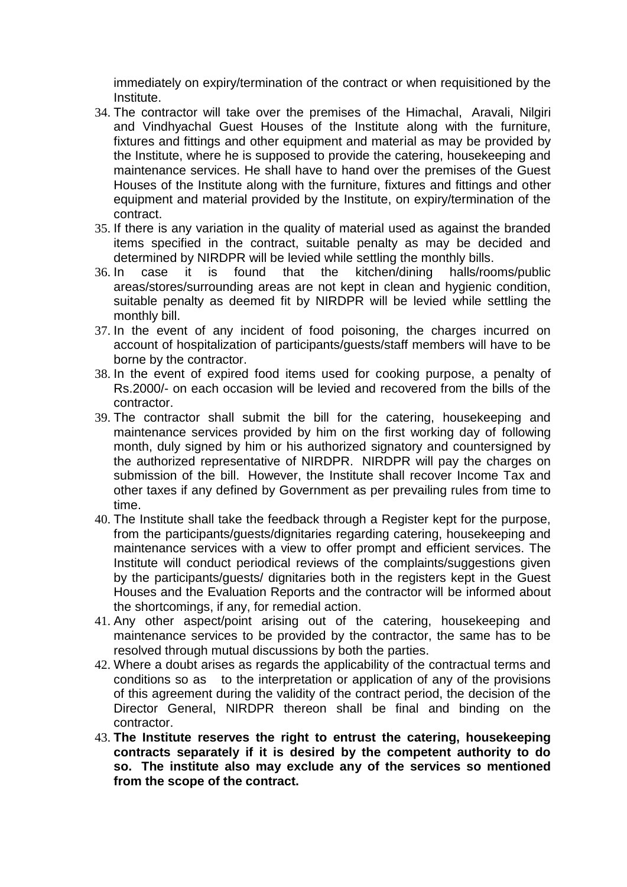immediately on expiry/termination of the contract or when requisitioned by the Institute.

- 34. The contractor will take over the premises of the Himachal, Aravali, Nilgiri and Vindhyachal Guest Houses of the Institute along with the furniture, fixtures and fittings and other equipment and material as may be provided by the Institute, where he is supposed to provide the catering, housekeeping and maintenance services. He shall have to hand over the premises of the Guest Houses of the Institute along with the furniture, fixtures and fittings and other equipment and material provided by the Institute, on expiry/termination of the contract.
- 35. If there is any variation in the quality of material used as against the branded items specified in the contract, suitable penalty as may be decided and determined by NIRDPR will be levied while settling the monthly bills.
- 36. In case it is found that the kitchen/dining halls/rooms/public areas/stores/surrounding areas are not kept in clean and hygienic condition, suitable penalty as deemed fit by NIRDPR will be levied while settling the monthly bill.
- 37. In the event of any incident of food poisoning, the charges incurred on account of hospitalization of participants/guests/staff members will have to be borne by the contractor.
- 38. In the event of expired food items used for cooking purpose, a penalty of Rs.2000/- on each occasion will be levied and recovered from the bills of the contractor.
- 39. The contractor shall submit the bill for the catering, housekeeping and maintenance services provided by him on the first working day of following month, duly signed by him or his authorized signatory and countersigned by the authorized representative of NIRDPR. NIRDPR will pay the charges on submission of the bill. However, the Institute shall recover Income Tax and other taxes if any defined by Government as per prevailing rules from time to time.
- 40. The Institute shall take the feedback through a Register kept for the purpose, from the participants/guests/dignitaries regarding catering, housekeeping and maintenance services with a view to offer prompt and efficient services. The Institute will conduct periodical reviews of the complaints/suggestions given by the participants/guests/ dignitaries both in the registers kept in the Guest Houses and the Evaluation Reports and the contractor will be informed about the shortcomings, if any, for remedial action.
- 41. Any other aspect/point arising out of the catering, housekeeping and maintenance services to be provided by the contractor, the same has to be resolved through mutual discussions by both the parties.
- 42. Where a doubt arises as regards the applicability of the contractual terms and conditions so as to the interpretation or application of any of the provisions of this agreement during the validity of the contract period, the decision of the Director General, NIRDPR thereon shall be final and binding on the contractor.
- 43. **The Institute reserves the right to entrust the catering, housekeeping contracts separately if it is desired by the competent authority to do so. The institute also may exclude any of the services so mentioned from the scope of the contract.**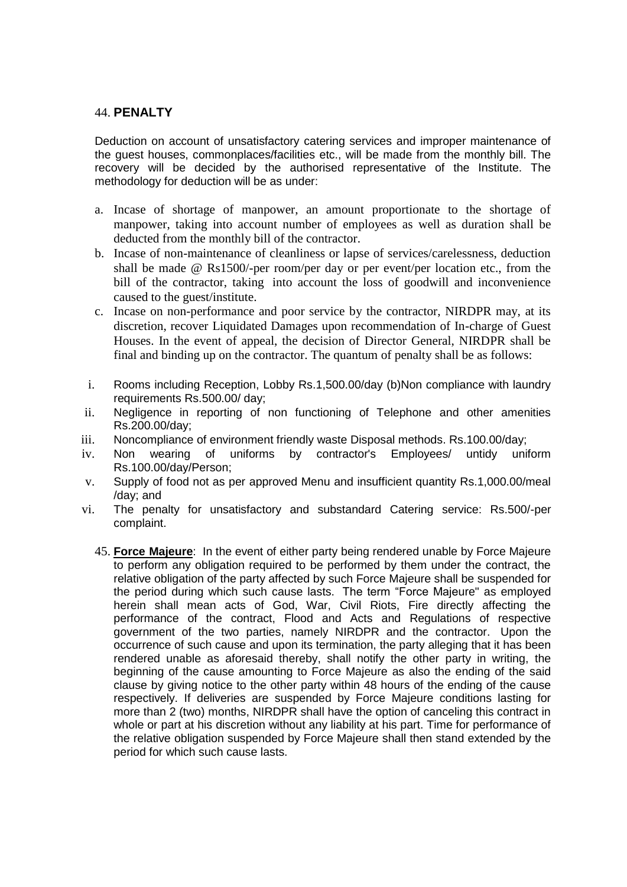#### 44. **PENALTY**

Deduction on account of unsatisfactory catering services and improper maintenance of the guest houses, commonplaces/facilities etc., will be made from the monthly bill. The recovery will be decided by the authorised representative of the Institute. The methodology for deduction will be as under:

- a. Incase of shortage of manpower, an amount proportionate to the shortage of manpower, taking into account number of employees as well as duration shall be deducted from the monthly bill of the contractor.
- b. Incase of non-maintenance of cleanliness or lapse of services/carelessness, deduction shall be made @ Rs1500/-per room/per day or per event/per location etc., from the bill of the contractor, taking into account the loss of goodwill and inconvenience caused to the guest/institute.
- c. Incase on non-performance and poor service by the contractor, NIRDPR may, at its discretion, recover Liquidated Damages upon recommendation of In-charge of Guest Houses. In the event of appeal, the decision of Director General, NIRDPR shall be final and binding up on the contractor. The quantum of penalty shall be as follows:
- i. Rooms including Reception, Lobby Rs.1,500.00/day (b)Non compliance with laundry requirements Rs.500.00/ day;
- ii. Negligence in reporting of non functioning of Telephone and other amenities Rs.200.00/day;
- iii. Noncompliance of environment friendly waste Disposal methods. Rs.100.00/day;
- iv. Non wearing of uniforms by contractor's Employees/ untidy uniform Rs.100.00/day/Person;
- v. Supply of food not as per approved Menu and insufficient quantity Rs.1,000.00/meal /day; and
- vi. The penalty for unsatisfactory and substandard Catering service: Rs.500/-per complaint.
	- 45. **Force Majeure**: In the event of either party being rendered unable by Force Majeure to perform any obligation required to be performed by them under the contract, the relative obligation of the party affected by such Force Majeure shall be suspended for the period during which such cause lasts. The term "Force Majeure" as employed herein shall mean acts of God, War, Civil Riots, Fire directly affecting the performance of the contract, Flood and Acts and Regulations of respective government of the two parties, namely NIRDPR and the contractor. Upon the occurrence of such cause and upon its termination, the party alleging that it has been rendered unable as aforesaid thereby, shall notify the other party in writing, the beginning of the cause amounting to Force Majeure as also the ending of the said clause by giving notice to the other party within 48 hours of the ending of the cause respectively. If deliveries are suspended by Force Majeure conditions lasting for more than 2 (two) months, NIRDPR shall have the option of canceling this contract in whole or part at his discretion without any liability at his part. Time for performance of the relative obligation suspended by Force Majeure shall then stand extended by the period for which such cause lasts.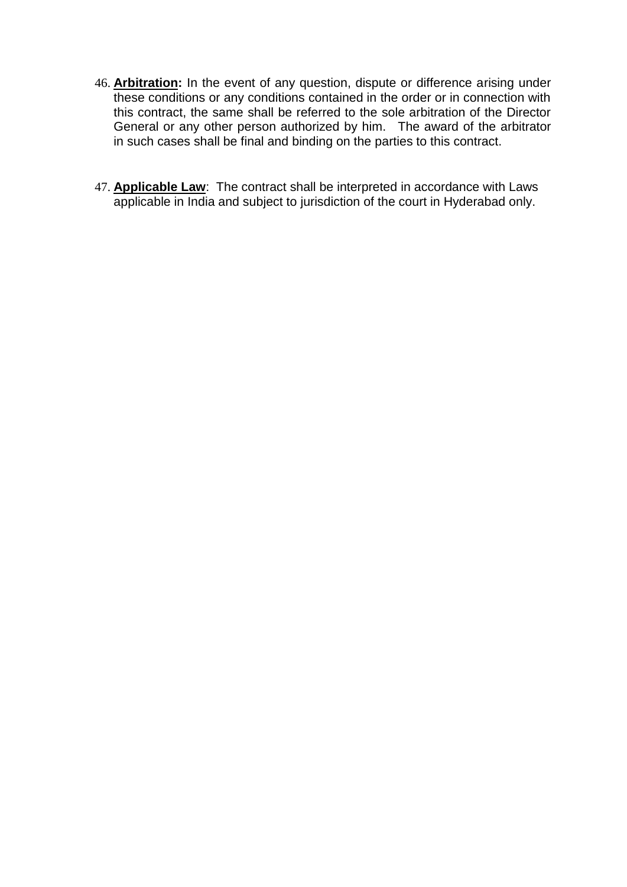- 46. **Arbitration:** In the event of any question, dispute or difference arising under these conditions or any conditions contained in the order or in connection with this contract, the same shall be referred to the sole arbitration of the Director General or any other person authorized by him. The award of the arbitrator in such cases shall be final and binding on the parties to this contract.
- 47. **Applicable Law**: The contract shall be interpreted in accordance with Laws applicable in India and subject to jurisdiction of the court in Hyderabad only.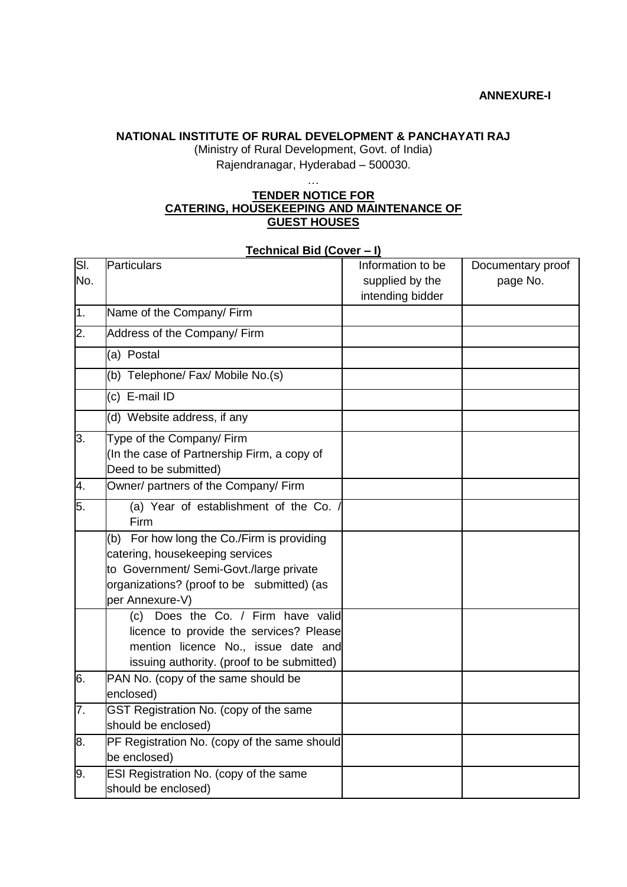### **NATIONAL INSTITUTE OF RURAL DEVELOPMENT & PANCHAYATI RAJ**

(Ministry of Rural Development, Govt. of India) Rajendranagar, Hyderabad – 500030.

### **TENDER NOTICE FOR CATERING, HOUSEKEEPING AND MAINTENANCE OF GUEST HOUSES**

…

#### **Technical Bid (Cover – I)**

| SI. | <b>Particulars</b>                           | Information to be | Documentary proof |
|-----|----------------------------------------------|-------------------|-------------------|
| No. |                                              | supplied by the   | page No.          |
|     |                                              | intending bidder  |                   |
| 1.  | Name of the Company/ Firm                    |                   |                   |
| 2.  | Address of the Company/ Firm                 |                   |                   |
|     | (a) Postal                                   |                   |                   |
|     | (b) Telephone/ Fax/ Mobile No.(s)            |                   |                   |
|     | (c) E-mail ID                                |                   |                   |
|     | (d) Website address, if any                  |                   |                   |
| 3.  | Type of the Company/ Firm                    |                   |                   |
|     | (In the case of Partnership Firm, a copy of  |                   |                   |
|     | Deed to be submitted)                        |                   |                   |
| 4.  | Owner/ partners of the Company/ Firm         |                   |                   |
| 5.  | (a) Year of establishment of the Co.<br>Firm |                   |                   |
|     | (b) For how long the Co./Firm is providing   |                   |                   |
|     | catering, housekeeping services              |                   |                   |
|     | to Government/ Semi-Govt./large private      |                   |                   |
|     | organizations? (proof to be submitted) (as   |                   |                   |
|     | per Annexure-V)                              |                   |                   |
|     | (c) Does the Co. / Firm have valid           |                   |                   |
|     | licence to provide the services? Please      |                   |                   |
|     | mention licence No., issue date and          |                   |                   |
|     | issuing authority. (proof to be submitted)   |                   |                   |
| 6.  | PAN No. (copy of the same should be          |                   |                   |
|     | enclosed)                                    |                   |                   |
| 7.  | GST Registration No. (copy of the same       |                   |                   |
|     | should be enclosed)                          |                   |                   |
| 8.  | PF Registration No. (copy of the same should |                   |                   |
|     | be enclosed)                                 |                   |                   |
| 9.  | ESI Registration No. (copy of the same       |                   |                   |
|     | should be enclosed)                          |                   |                   |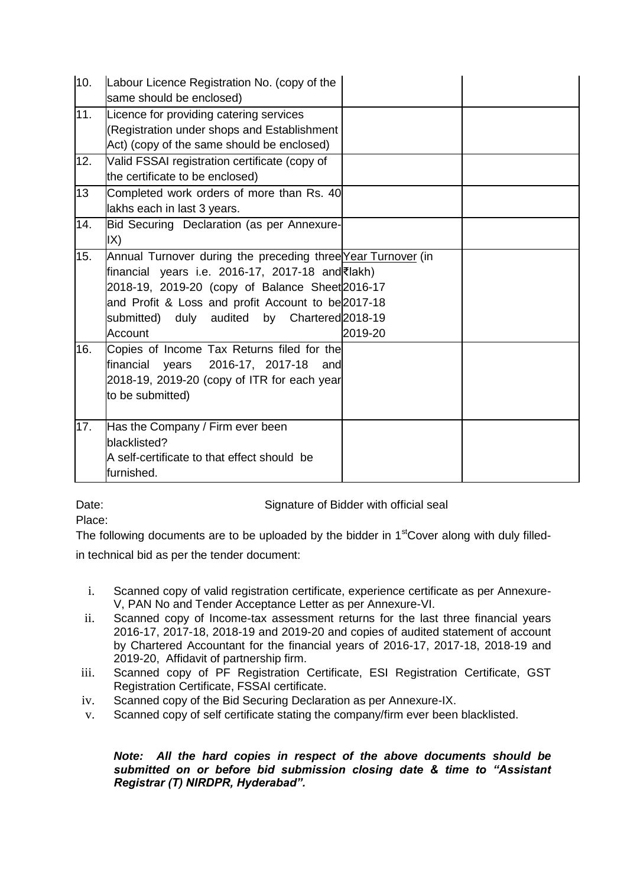| 10. | Labour Licence Registration No. (copy of the<br>same should be enclosed)                                                                                                                                                                                                             |         |  |
|-----|--------------------------------------------------------------------------------------------------------------------------------------------------------------------------------------------------------------------------------------------------------------------------------------|---------|--|
| 11. | Licence for providing catering services<br>(Registration under shops and Establishment<br>Act) (copy of the same should be enclosed)                                                                                                                                                 |         |  |
| 12. | Valid FSSAI registration certificate (copy of<br>the certificate to be enclosed)                                                                                                                                                                                                     |         |  |
| 13  | Completed work orders of more than Rs. 40<br>lakhs each in last 3 years.                                                                                                                                                                                                             |         |  |
| 14. | Bid Securing Declaration (as per Annexure-<br>IX)                                                                                                                                                                                                                                    |         |  |
| 15. | Annual Turnover during the preceding three Year Turnover (in<br>financial years i.e. 2016-17, 2017-18 and ₹lakh)<br>2018-19, 2019-20 (copy of Balance Sheet 2016-17<br>and Profit & Loss and profit Account to be 2017-18<br>submitted) duly audited by Chartered 2018-19<br>Account | 2019-20 |  |
| 16. | Copies of Income Tax Returns filed for the<br>financial years 2016-17, 2017-18<br>and<br>2018-19, 2019-20 (copy of ITR for each year<br>to be submitted)                                                                                                                             |         |  |
| 17. | Has the Company / Firm ever been<br>blacklisted?<br>A self-certificate to that effect should be<br>furnished.                                                                                                                                                                        |         |  |

Date: Date: Signature of Bidder with official seal

Place:

The following documents are to be uploaded by the bidder in  $1<sup>st</sup>Cover$  along with duly filled-

in technical bid as per the tender document:

- i. Scanned copy of valid registration certificate, experience certificate as per Annexure-V, PAN No and Tender Acceptance Letter as per Annexure-VI.
- ii. Scanned copy of Income-tax assessment returns for the last three financial years 2016-17, 2017-18, 2018-19 and 2019-20 and copies of audited statement of account by Chartered Accountant for the financial years of 2016-17, 2017-18, 2018-19 and 2019-20, Affidavit of partnership firm.
- iii. Scanned copy of PF Registration Certificate, ESI Registration Certificate, GST Registration Certificate, FSSAI certificate.
- iv. Scanned copy of the Bid Securing Declaration as per Annexure-IX.
- v. Scanned copy of self certificate stating the company/firm ever been blacklisted.

### *Note: All the hard copies in respect of the above documents should be submitted on or before bid submission closing date & time to "Assistant Registrar (T) NIRDPR, Hyderabad".*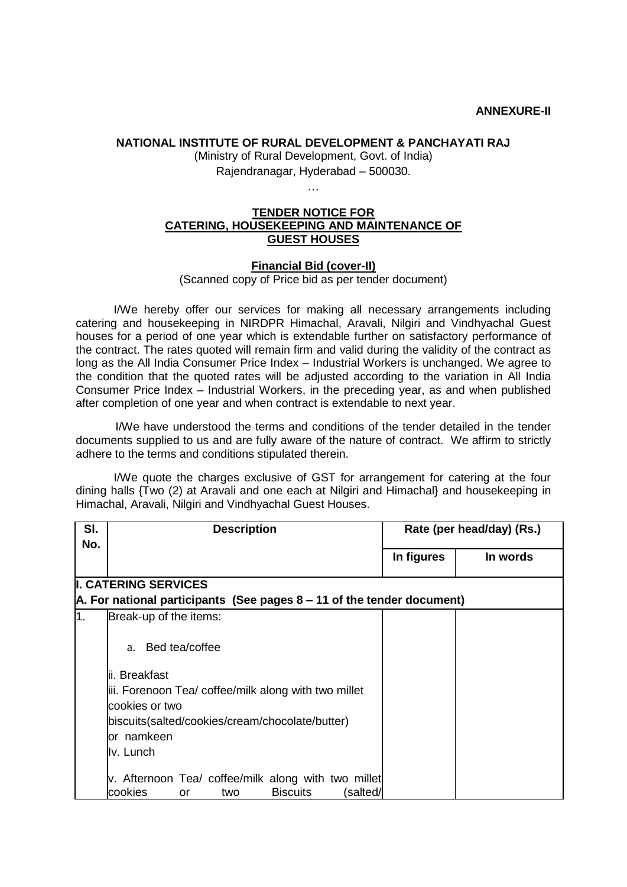#### **NATIONAL INSTITUTE OF RURAL DEVELOPMENT & PANCHAYATI RAJ**

(Ministry of Rural Development, Govt. of India) Rajendranagar, Hyderabad – 500030.

#### …

#### **TENDER NOTICE FOR CATERING, HOUSEKEEPING AND MAINTENANCE OF GUEST HOUSES**

#### **Financial Bid (cover-II)**

(Scanned copy of Price bid as per tender document)

I/We hereby offer our services for making all necessary arrangements including catering and housekeeping in NIRDPR Himachal, Aravali, Nilgiri and Vindhyachal Guest houses for a period of one year which is extendable further on satisfactory performance of the contract. The rates quoted will remain firm and valid during the validity of the contract as long as the All India Consumer Price Index – Industrial Workers is unchanged. We agree to the condition that the quoted rates will be adjusted according to the variation in All India Consumer Price Index – Industrial Workers, in the preceding year, as and when published after completion of one year and when contract is extendable to next year.

I/We have understood the terms and conditions of the tender detailed in the tender documents supplied to us and are fully aware of the nature of contract. We affirm to strictly adhere to the terms and conditions stipulated therein.

I/We quote the charges exclusive of GST for arrangement for catering at the four dining halls {Two (2) at Aravali and one each at Nilgiri and Himachal} and housekeeping in Himachal, Aravali, Nilgiri and Vindhyachal Guest Houses.

| SI. | <b>Description</b>                                                             | Rate (per head/day) (Rs.) |          |  |  |  |
|-----|--------------------------------------------------------------------------------|---------------------------|----------|--|--|--|
| No. |                                                                                |                           |          |  |  |  |
|     |                                                                                | In figures                | In words |  |  |  |
|     | <b>II. CATERING SERVICES</b>                                                   |                           |          |  |  |  |
|     |                                                                                |                           |          |  |  |  |
|     | $\vert$ A. For national participants (See pages 8 – 11 of the tender document) |                           |          |  |  |  |
| 1.  | Break-up of the items:                                                         |                           |          |  |  |  |
|     |                                                                                |                           |          |  |  |  |
|     | Bed tea/coffee<br>$a_{-}$                                                      |                           |          |  |  |  |
|     |                                                                                |                           |          |  |  |  |
|     | lii. Breakfast                                                                 |                           |          |  |  |  |
|     | iii. Forenoon Tea/ coffee/milk along with two millet                           |                           |          |  |  |  |
|     | cookies or two                                                                 |                           |          |  |  |  |
|     | biscuits(salted/cookies/cream/chocolate/butter)                                |                           |          |  |  |  |
|     | lor namkeen                                                                    |                           |          |  |  |  |
|     | llv. Lunch                                                                     |                           |          |  |  |  |
|     |                                                                                |                           |          |  |  |  |
|     | v. Afternoon Tea/ coffee/milk along with two millet                            |                           |          |  |  |  |
|     | cookies<br><b>Biscuits</b><br>salted/<br>or<br>two                             |                           |          |  |  |  |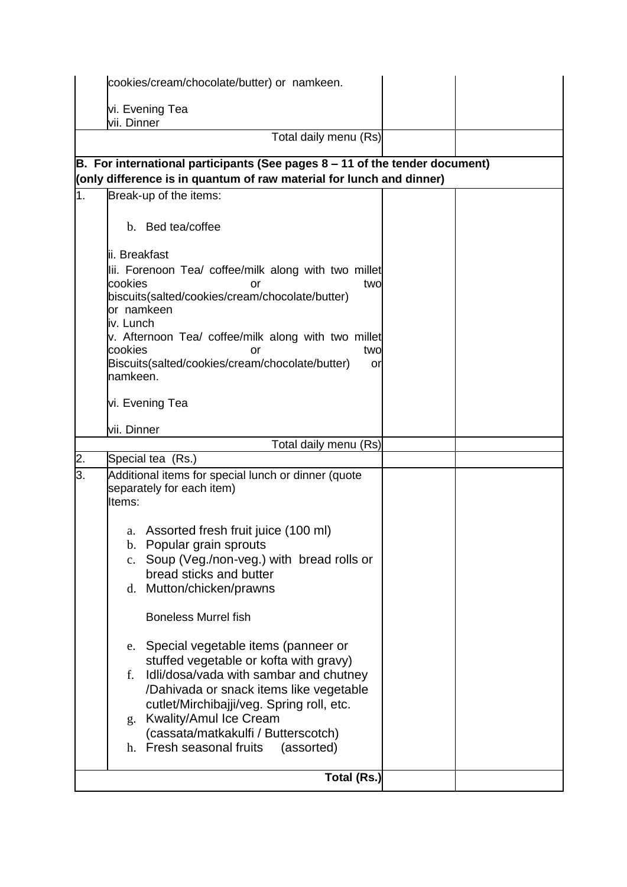|    | cookies/cream/chocolate/butter) or namkeen.                                                                                                                                                                                                                                                                                                                                                                                                                                                                                                                 |  |  |  |
|----|-------------------------------------------------------------------------------------------------------------------------------------------------------------------------------------------------------------------------------------------------------------------------------------------------------------------------------------------------------------------------------------------------------------------------------------------------------------------------------------------------------------------------------------------------------------|--|--|--|
|    | vi. Evening Tea<br>vii. Dinner                                                                                                                                                                                                                                                                                                                                                                                                                                                                                                                              |  |  |  |
|    | Total daily menu (Rs)                                                                                                                                                                                                                                                                                                                                                                                                                                                                                                                                       |  |  |  |
|    | B. For international participants (See pages $8 - 11$ of the tender document)                                                                                                                                                                                                                                                                                                                                                                                                                                                                               |  |  |  |
| 1. | (only difference is in quantum of raw material for lunch and dinner)<br>Break-up of the items:                                                                                                                                                                                                                                                                                                                                                                                                                                                              |  |  |  |
|    | b. Bed tea/coffee                                                                                                                                                                                                                                                                                                                                                                                                                                                                                                                                           |  |  |  |
|    | lii. Breakfast<br>lii. Forenoon Tea/ coffee/milk along with two millet<br>cookies<br>two<br>or<br>biscuits(salted/cookies/cream/chocolate/butter)<br>or namkeen<br>iv. Lunch<br>v. Afternoon Tea/ coffee/milk along with two millet<br>cookies<br>two<br>or<br>Biscuits(salted/cookies/cream/chocolate/butter)<br>or<br>namkeen.<br>vi. Evening Tea                                                                                                                                                                                                         |  |  |  |
|    | vii. Dinner                                                                                                                                                                                                                                                                                                                                                                                                                                                                                                                                                 |  |  |  |
|    | Total daily menu (Rs)                                                                                                                                                                                                                                                                                                                                                                                                                                                                                                                                       |  |  |  |
| 2. | Special tea (Rs.)                                                                                                                                                                                                                                                                                                                                                                                                                                                                                                                                           |  |  |  |
| 3. | Additional items for special lunch or dinner (quote<br>separately for each item)<br>Items:                                                                                                                                                                                                                                                                                                                                                                                                                                                                  |  |  |  |
|    | a. Assorted fresh fruit juice (100 ml)<br>b. Popular grain sprouts<br>c. Soup (Veg./non-veg.) with bread rolls or<br>bread sticks and butter<br>d. Mutton/chicken/prawns<br><b>Boneless Murrel fish</b><br>e. Special vegetable items (panneer or<br>stuffed vegetable or kofta with gravy)<br>Idli/dosa/vada with sambar and chutney<br>f.<br>/Dahivada or snack items like vegetable<br>cutlet/Mirchibajji/veg. Spring roll, etc.<br><b>Kwality/Amul Ice Cream</b><br>g.<br>(cassata/matkakulfi / Butterscotch)<br>h. Fresh seasonal fruits<br>(assorted) |  |  |  |
|    |                                                                                                                                                                                                                                                                                                                                                                                                                                                                                                                                                             |  |  |  |
|    | Total (Rs.)                                                                                                                                                                                                                                                                                                                                                                                                                                                                                                                                                 |  |  |  |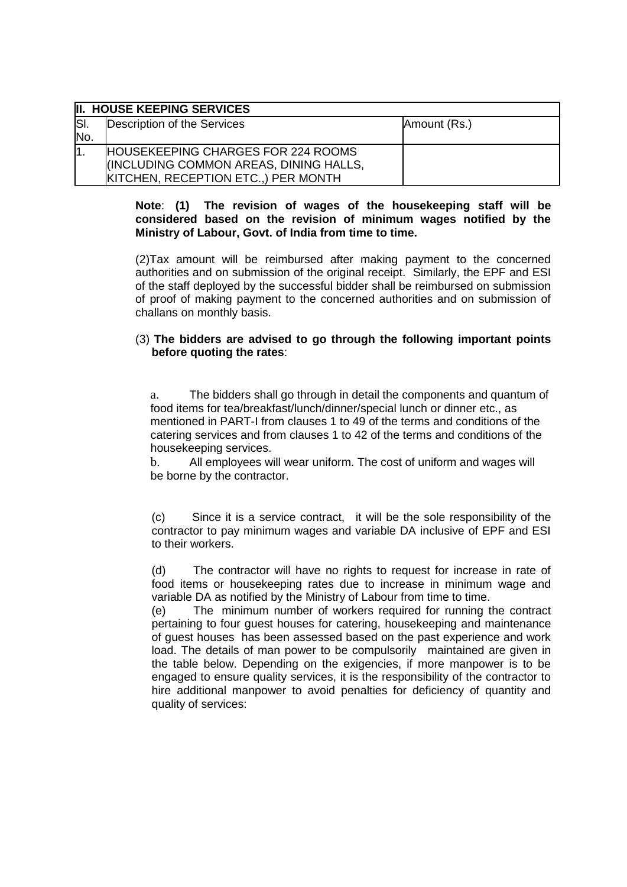|      | II. HOUSE KEEPING SERVICES                |              |
|------|-------------------------------------------|--------------|
| lSI. | Description of the Services               | Amount (Rs.) |
| No.  |                                           |              |
| ١1.  | <b>HOUSEKEEPING CHARGES FOR 224 ROOMS</b> |              |
|      | IINCLUDING COMMON AREAS, DINING HALLS,    |              |
|      | KITCHEN, RECEPTION ETC., ) PER MONTH      |              |

#### **Note**: **(1) The revision of wages of the housekeeping staff will be considered based on the revision of minimum wages notified by the Ministry of Labour, Govt. of India from time to time.**

(2)Tax amount will be reimbursed after making payment to the concerned authorities and on submission of the original receipt. Similarly, the EPF and ESI of the staff deployed by the successful bidder shall be reimbursed on submission of proof of making payment to the concerned authorities and on submission of challans on monthly basis.

#### (3) **The bidders are advised to go through the following important points before quoting the rates**:

a. The bidders shall go through in detail the components and quantum of food items for tea/breakfast/lunch/dinner/special lunch or dinner etc., as mentioned in PART-I from clauses 1 to 49 of the terms and conditions of the catering services and from clauses 1 to 42 of the terms and conditions of the housekeeping services.

b. All employees will wear uniform. The cost of uniform and wages will be borne by the contractor.

(c) Since it is a service contract, it will be the sole responsibility of the contractor to pay minimum wages and variable DA inclusive of EPF and ESI to their workers.

(d) The contractor will have no rights to request for increase in rate of food items or housekeeping rates due to increase in minimum wage and variable DA as notified by the Ministry of Labour from time to time.

(e) The minimum number of workers required for running the contract pertaining to four guest houses for catering, housekeeping and maintenance of guest houses has been assessed based on the past experience and work load. The details of man power to be compulsorily maintained are given in the table below. Depending on the exigencies, if more manpower is to be engaged to ensure quality services, it is the responsibility of the contractor to hire additional manpower to avoid penalties for deficiency of quantity and quality of services: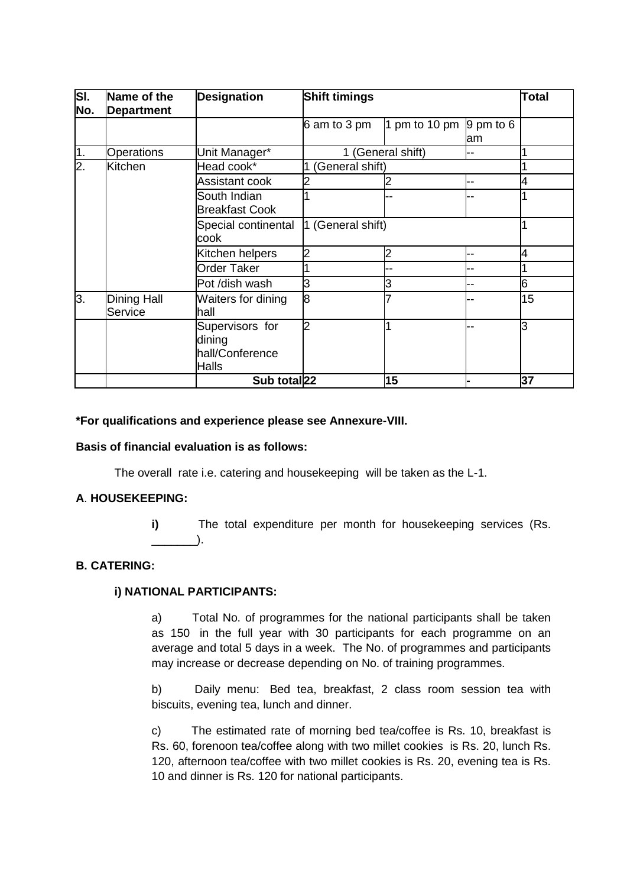| SI.<br>No.       | Name of the<br><b>Department</b> | <b>Designation</b>                                    | <b>Shift timings</b> |                   |                  | Total |
|------------------|----------------------------------|-------------------------------------------------------|----------------------|-------------------|------------------|-------|
|                  |                                  |                                                       | 6 am to 3 pm         | 1 pm to 10 pm     | 9 pm to 6<br>lam |       |
| 1.               | Operations                       | Unit Manager*                                         |                      | 1 (General shift) | --               |       |
| $\overline{2}$ . | Kitchen                          | Head cook*                                            | General shift)       |                   |                  |       |
|                  |                                  | Assistant cook                                        |                      |                   |                  |       |
|                  |                                  | South Indian<br><b>Breakfast Cook</b>                 |                      |                   |                  |       |
|                  |                                  | Special continental<br>cook                           | 1 (General shift)    |                   |                  |       |
|                  |                                  | Kitchen helpers                                       |                      | $\overline{c}$    |                  |       |
|                  |                                  | Order Taker                                           |                      |                   |                  |       |
|                  |                                  | Pot /dish wash                                        | 3                    | 3                 |                  | 6     |
| 3.               | <b>Dining Hall</b><br>Service    | Waiters for dining<br>lhall                           | 8                    |                   |                  | 15    |
|                  |                                  | Supervisors for<br>dining<br>hall/Conference<br>Halls |                      |                   |                  | ß     |
|                  |                                  | Sub total <sub>22</sub>                               |                      | 15                |                  | 37    |

#### **\*For qualifications and experience please see Annexure-VIII.**

#### **Basis of financial evaluation is as follows:**

The overall rate i.e. catering and housekeeping will be taken as the L-1.

#### **A**. **HOUSEKEEPING:**

**i)** The total expenditure per month for housekeeping services (Rs.  $\qquad \qquad$ 

### **B. CATERING:**

### **i) NATIONAL PARTICIPANTS:**

a) Total No. of programmes for the national participants shall be taken as 150 in the full year with 30 participants for each programme on an average and total 5 days in a week. The No. of programmes and participants may increase or decrease depending on No. of training programmes.

b) Daily menu: Bed tea, breakfast, 2 class room session tea with biscuits, evening tea, lunch and dinner.

c) The estimated rate of morning bed tea/coffee is Rs. 10, breakfast is Rs. 60, forenoon tea/coffee along with two millet cookies is Rs. 20, lunch Rs. 120, afternoon tea/coffee with two millet cookies is Rs. 20, evening tea is Rs. 10 and dinner is Rs. 120 for national participants.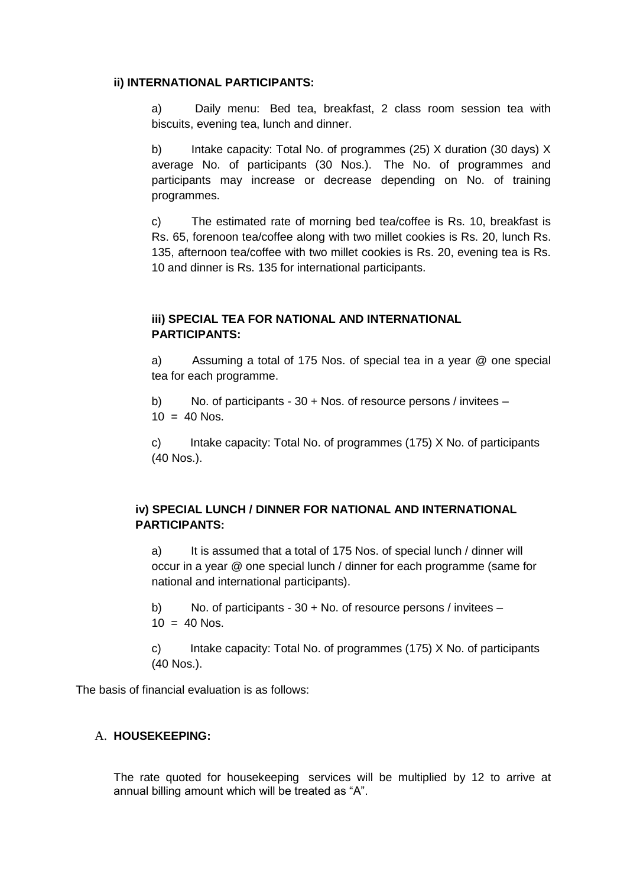#### **ii) INTERNATIONAL PARTICIPANTS:**

a) Daily menu: Bed tea, breakfast, 2 class room session tea with biscuits, evening tea, lunch and dinner.

b) Intake capacity: Total No. of programmes (25) X duration (30 days) X average No. of participants (30 Nos.). The No. of programmes and participants may increase or decrease depending on No. of training programmes.

c) The estimated rate of morning bed tea/coffee is Rs. 10, breakfast is Rs. 65, forenoon tea/coffee along with two millet cookies is Rs. 20, lunch Rs. 135, afternoon tea/coffee with two millet cookies is Rs. 20, evening tea is Rs. 10 and dinner is Rs. 135 for international participants.

# **iii) SPECIAL TEA FOR NATIONAL AND INTERNATIONAL PARTICIPANTS:**

a) Assuming a total of 175 Nos. of special tea in a year @ one special tea for each programme.

b) No. of participants - 30 + Nos. of resource persons / invitees –  $10 = 40$  Nos.

c) Intake capacity: Total No. of programmes (175) X No. of participants (40 Nos.).

### **iv) SPECIAL LUNCH / DINNER FOR NATIONAL AND INTERNATIONAL PARTICIPANTS:**

a) It is assumed that a total of 175 Nos. of special lunch / dinner will occur in a year @ one special lunch / dinner for each programme (same for national and international participants).

b) No. of participants - 30 + No. of resource persons / invitees –  $10 = 40$  Nos.

c) Intake capacity: Total No. of programmes (175) X No. of participants (40 Nos.).

The basis of financial evaluation is as follows:

#### A. **HOUSEKEEPING:**

The rate quoted for housekeeping services will be multiplied by 12 to arrive at annual billing amount which will be treated as "A".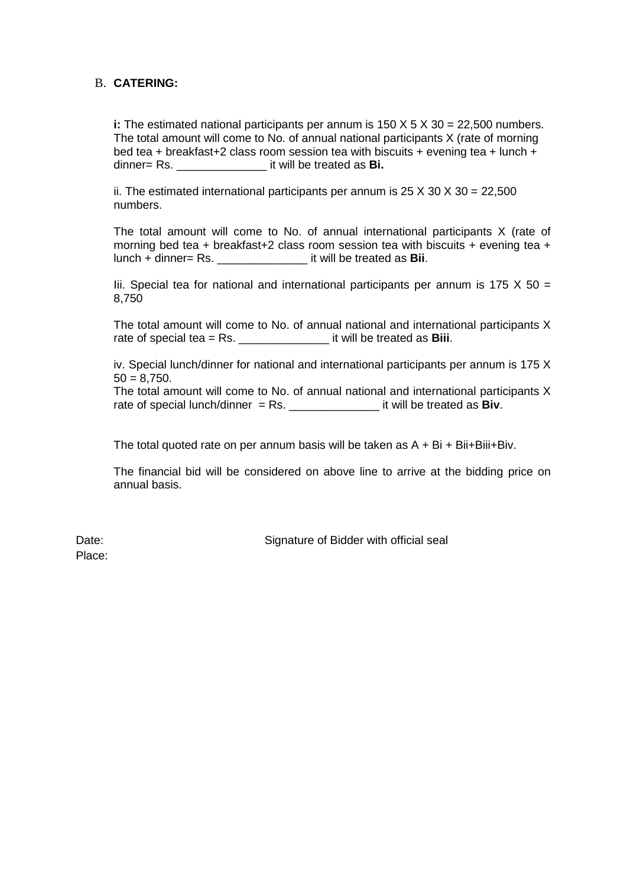### B. **CATERING:**

**i:** The estimated national participants per annum is 150 X 5 X 30 = 22,500 numbers. The total amount will come to No. of annual national participants X (rate of morning bed tea + breakfast+2 class room session tea with biscuits + evening tea + lunch + dinner= Rs. \_\_\_\_\_\_\_\_\_\_\_\_\_\_ it will be treated as **Bi.**

ii. The estimated international participants per annum is  $25 \times 30 \times 30 = 22,500$ numbers.

The total amount will come to No. of annual international participants X (rate of morning bed tea + breakfast+2 class room session tea with biscuits + evening tea + lunch + dinner= Rs. \_\_\_\_\_\_\_\_\_\_\_\_\_\_ it will be treated as **Bii**.

Iii. Special tea for national and international participants per annum is 175  $X$  50 = 8,750

The total amount will come to No. of annual national and international participants X rate of special tea = Rs. \_\_\_\_\_\_\_\_\_\_\_\_\_\_ it will be treated as **Biii**.

iv. Special lunch/dinner for national and international participants per annum is 175 X  $50 = 8.750$ .

The total amount will come to No. of annual national and international participants X rate of special lunch/dinner = Rs. \_\_\_\_\_\_\_\_\_\_\_\_\_\_ it will be treated as **Biv**.

The total quoted rate on per annum basis will be taken as  $A + Bi + Bi + Bi$ ii+Biv.

The financial bid will be considered on above line to arrive at the bidding price on annual basis.

Place:

Date: Date: Signature of Bidder with official seal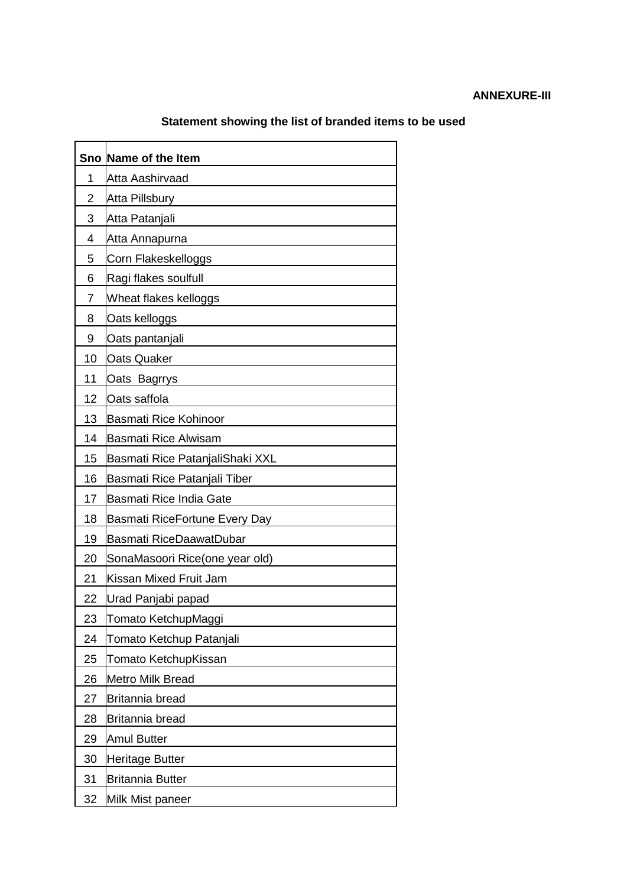# **ANNEXURE-III**

| Sno | Name of the Item                |
|-----|---------------------------------|
| 1   | Atta Aashirvaad                 |
| 2   | <b>Atta Pillsbury</b>           |
| 3   | Atta Patanjali                  |
| 4   | Atta Annapurna                  |
| 5   | Corn Flakeskelloggs             |
| 6   | Ragi flakes soulfull            |
| 7   | Wheat flakes kelloggs           |
| 8   | Oats kelloggs                   |
| 9   | Oats pantanjali                 |
| 10  | Oats Quaker                     |
| 11  | Oats Bagrrys                    |
| 12  | Oats saffola                    |
| 13  | Basmati Rice Kohinoor           |
| 14  | <b>Basmati Rice Alwisam</b>     |
| 15  | Basmati Rice PatanjaliShaki XXL |
| 16  | Basmati Rice Patanjali Tiber    |
| 17  | Basmati Rice India Gate         |
| 18  | Basmati RiceFortune Every Day   |
| 19  | Basmati RiceDaawatDubar         |
| 20  | SonaMasoori Rice(one year old)  |
| 21  | Kissan Mixed Fruit Jam          |
| 22  | Urad Panjabi papad              |
| 23  | Tomato KetchupMaggi             |
| 24  | Tomato Ketchup Patanjali        |
| 25  | Tomato KetchupKissan            |
| 26  | <b>Metro Milk Bread</b>         |
| 27  | Britannia bread                 |
| 28  | Britannia bread                 |
| 29  | <b>Amul Butter</b>              |
| 30  | <b>Heritage Butter</b>          |
| 31  | <b>Britannia Butter</b>         |
| 32  | Milk Mist paneer                |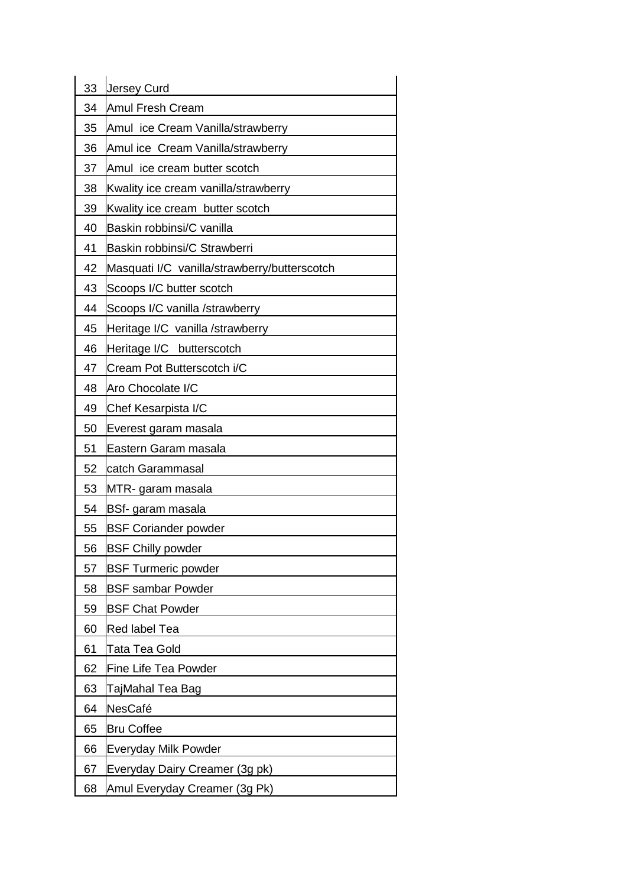| 33 | <b>Jersey Curd</b>                           |
|----|----------------------------------------------|
| 34 | <b>Amul Fresh Cream</b>                      |
| 35 | Amul ice Cream Vanilla/strawberry            |
| 36 | Amul ice Cream Vanilla/strawberry            |
| 37 | Amul ice cream butter scotch                 |
| 38 | Kwality ice cream vanilla/strawberry         |
| 39 | Kwality ice cream butter scotch              |
| 40 | Baskin robbinsi/C vanilla                    |
| 41 | Baskin robbinsi/C Strawberri                 |
| 42 | Masquati I/C vanilla/strawberry/butterscotch |
| 43 | Scoops I/C butter scotch                     |
| 44 | Scoops I/C vanilla /strawberry               |
| 45 | Heritage I/C vanilla /strawberry             |
| 46 | Heritage I/C butterscotch                    |
| 47 | Cream Pot Butterscotch i/C                   |
| 48 | Aro Chocolate I/C                            |
| 49 | Chef Kesarpista I/C                          |
| 50 | Everest garam masala                         |
|    |                                              |
| 51 | Eastern Garam masala                         |
| 52 | catch Garammasal                             |
| 53 | MTR- garam masala                            |
| 54 | BSf- garam masala                            |
| 55 | <b>BSF Coriander powder</b>                  |
| 56 | <b>BSF Chilly powder</b>                     |
| 57 | <b>BSF Turmeric powder</b>                   |
| 58 | <b>BSF sambar Powder</b>                     |
| 59 | <b>BSF Chat Powder</b>                       |
| 60 | <b>Red label Tea</b>                         |
| 61 | Tata Tea Gold                                |
| 62 | Fine Life Tea Powder                         |
| 63 | TajMahal Tea Bag                             |
| 64 | NesCafé                                      |
| 65 | <b>Bru Coffee</b>                            |
| 66 | <b>Everyday Milk Powder</b>                  |
| 67 | Everyday Dairy Creamer (3g pk)               |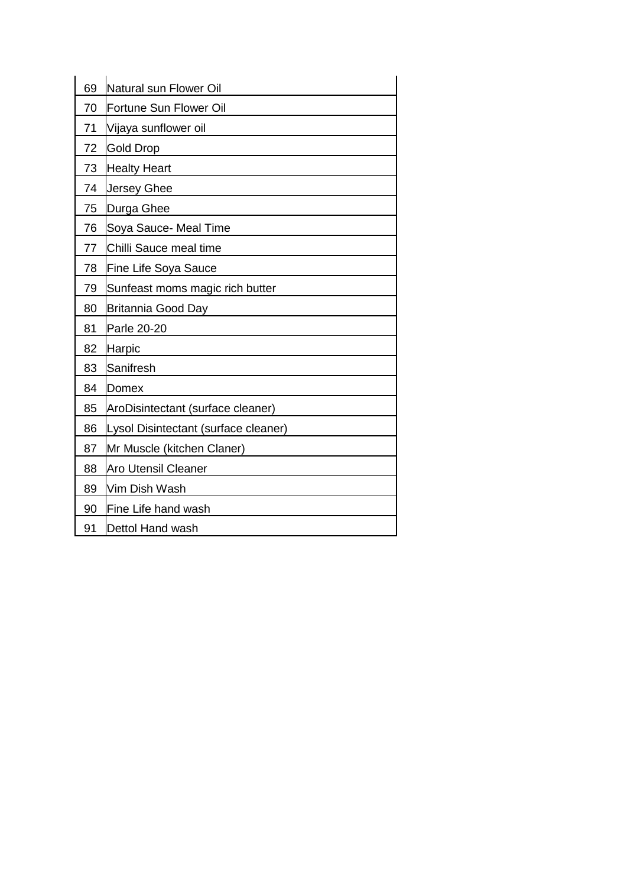| 69 | Natural sun Flower Oil               |
|----|--------------------------------------|
| 70 | Fortune Sun Flower Oil               |
| 71 | Vijaya sunflower oil                 |
| 72 | <b>Gold Drop</b>                     |
| 73 | <b>Healty Heart</b>                  |
| 74 | <b>Jersey Ghee</b>                   |
| 75 | Durga Ghee                           |
| 76 | Soya Sauce- Meal Time                |
| 77 | Chilli Sauce meal time               |
| 78 | <b>Fine Life Soya Sauce</b>          |
| 79 | Sunfeast moms magic rich butter      |
| 80 | Britannia Good Day                   |
| 81 | Parle 20-20                          |
| 82 | <b>Harpic</b>                        |
| 83 | Sanifresh                            |
| 84 | <b>Domex</b>                         |
| 85 | AroDisintectant (surface cleaner)    |
| 86 | Lysol Disintectant (surface cleaner) |
| 87 | Mr Muscle (kitchen Claner)           |
| 88 | <b>Aro Utensil Cleaner</b>           |
| 89 | Vim Dish Wash                        |
| 90 | Fine Life hand wash                  |
| 91 | Dettol Hand wash                     |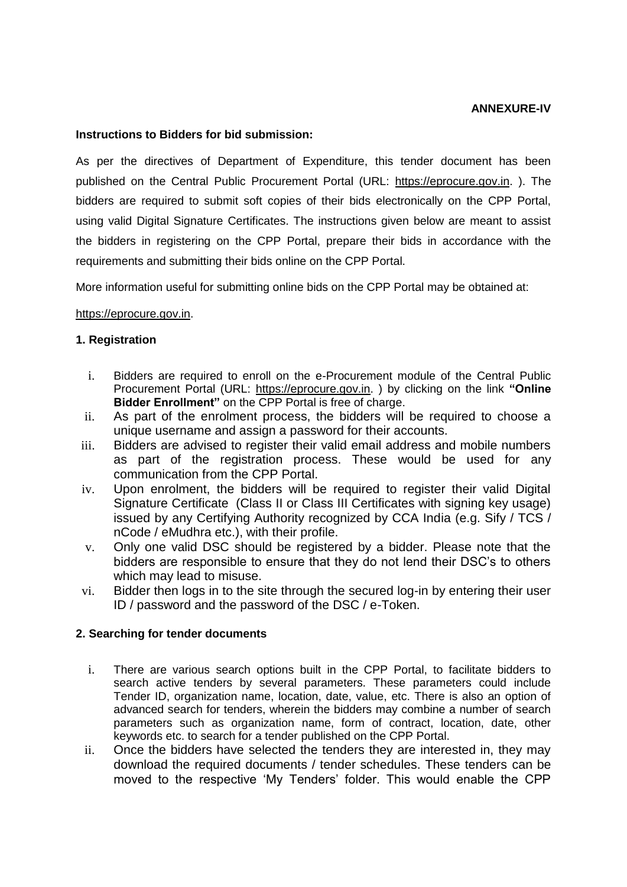#### **ANNEXURE-IV**

#### **Instructions to Bidders for bid submission:**

As per the directives of Department of Expenditure, this tender document has been published on the Central Public Procurement Portal (URL: https://eprocure.gov.in. ). The bidders are required to submit soft copies of their bids electronically on the CPP Portal, using valid Digital Signature Certificates. The instructions given below are meant to assist the bidders in registering on the CPP Portal, prepare their bids in accordance with the requirements and submitting their bids online on the CPP Portal.

More information useful for submitting online bids on the CPP Portal may be obtained at:

#### https://eprocure.gov.in.

#### **1. Registration**

- i. Bidders are required to enroll on the e-Procurement module of the Central Public Procurement Portal (URL: https://eprocure.gov.in. ) by clicking on the link **"Online Bidder Enrollment"** on the CPP Portal is free of charge.
- ii. As part of the enrolment process, the bidders will be required to choose a unique username and assign a password for their accounts.
- iii. Bidders are advised to register their valid email address and mobile numbers as part of the registration process. These would be used for any communication from the CPP Portal.
- iv. Upon enrolment, the bidders will be required to register their valid Digital Signature Certificate (Class II or Class III Certificates with signing key usage) issued by any Certifying Authority recognized by CCA India (e.g. Sify / TCS / nCode / eMudhra etc.), with their profile.
- v. Only one valid DSC should be registered by a bidder. Please note that the bidders are responsible to ensure that they do not lend their DSC's to others which may lead to misuse.
- vi. Bidder then logs in to the site through the secured log-in by entering their user ID / password and the password of the DSC / e-Token.

#### **2. Searching for tender documents**

- i. There are various search options built in the CPP Portal, to facilitate bidders to search active tenders by several parameters. These parameters could include Tender ID, organization name, location, date, value, etc. There is also an option of advanced search for tenders, wherein the bidders may combine a number of search parameters such as organization name, form of contract, location, date, other keywords etc. to search for a tender published on the CPP Portal.
- ii. Once the bidders have selected the tenders they are interested in, they may download the required documents / tender schedules. These tenders can be moved to the respective 'My Tenders' folder. This would enable the CPP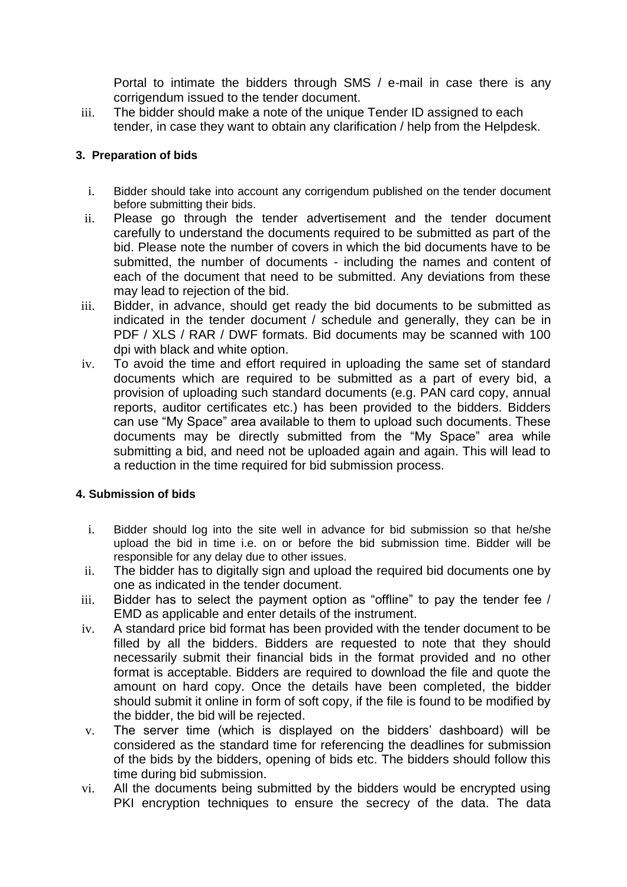Portal to intimate the bidders through SMS / e-mail in case there is any corrigendum issued to the tender document.

iii. The bidder should make a note of the unique Tender ID assigned to each tender, in case they want to obtain any clarification / help from the Helpdesk.

# **3. Preparation of bids**

- i. Bidder should take into account any corrigendum published on the tender document before submitting their bids.
- ii. Please go through the tender advertisement and the tender document carefully to understand the documents required to be submitted as part of the bid. Please note the number of covers in which the bid documents have to be submitted, the number of documents - including the names and content of each of the document that need to be submitted. Any deviations from these may lead to rejection of the bid.
- iii. Bidder, in advance, should get ready the bid documents to be submitted as indicated in the tender document / schedule and generally, they can be in PDF / XLS / RAR / DWF formats. Bid documents may be scanned with 100 dpi with black and white option.
- iv. To avoid the time and effort required in uploading the same set of standard documents which are required to be submitted as a part of every bid, a provision of uploading such standard documents (e.g. PAN card copy, annual reports, auditor certificates etc.) has been provided to the bidders. Bidders can use "My Space" area available to them to upload such documents. These documents may be directly submitted from the "My Space" area while submitting a bid, and need not be uploaded again and again. This will lead to a reduction in the time required for bid submission process.

### **4. Submission of bids**

- i. Bidder should log into the site well in advance for bid submission so that he/she upload the bid in time i.e. on or before the bid submission time. Bidder will be responsible for any delay due to other issues.
- ii. The bidder has to digitally sign and upload the required bid documents one by one as indicated in the tender document.
- iii. Bidder has to select the payment option as "offline" to pay the tender fee / EMD as applicable and enter details of the instrument.
- iv. A standard price bid format has been provided with the tender document to be filled by all the bidders. Bidders are requested to note that they should necessarily submit their financial bids in the format provided and no other format is acceptable. Bidders are required to download the file and quote the amount on hard copy. Once the details have been completed, the bidder should submit it online in form of soft copy, if the file is found to be modified by the bidder, the bid will be rejected.
- v. The server time (which is displayed on the bidders' dashboard) will be considered as the standard time for referencing the deadlines for submission of the bids by the bidders, opening of bids etc. The bidders should follow this time during bid submission.
- vi. All the documents being submitted by the bidders would be encrypted using PKI encryption techniques to ensure the secrecy of the data. The data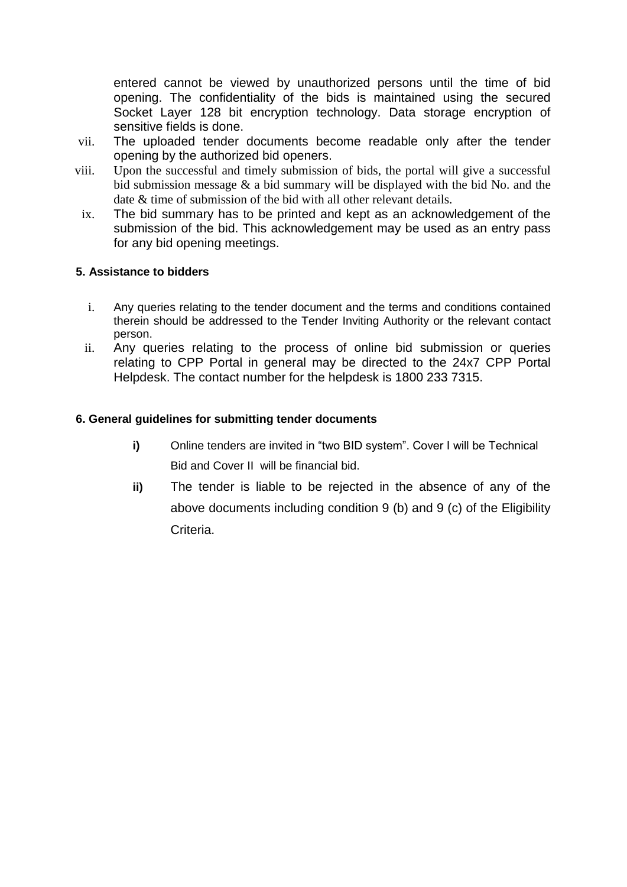entered cannot be viewed by unauthorized persons until the time of bid opening. The confidentiality of the bids is maintained using the secured Socket Layer 128 bit encryption technology. Data storage encryption of sensitive fields is done.

- vii. The uploaded tender documents become readable only after the tender opening by the authorized bid openers.
- viii. Upon the successful and timely submission of bids, the portal will give a successful bid submission message  $\&$  a bid summary will be displayed with the bid No. and the date & time of submission of the bid with all other relevant details.
- ix. The bid summary has to be printed and kept as an acknowledgement of the submission of the bid. This acknowledgement may be used as an entry pass for any bid opening meetings.

### **5. Assistance to bidders**

- i. Any queries relating to the tender document and the terms and conditions contained therein should be addressed to the Tender Inviting Authority or the relevant contact person.
- ii. Any queries relating to the process of online bid submission or queries relating to CPP Portal in general may be directed to the 24x7 CPP Portal Helpdesk. The contact number for the helpdesk is 1800 233 7315.

# **6. General guidelines for submitting tender documents**

- **i)** Online tenders are invited in "two BID system". Cover I will be Technical Bid and Cover II will be financial bid.
- **ii)** The tender is liable to be rejected in the absence of any of the above documents including condition 9 (b) and 9 (c) of the Eligibility Criteria.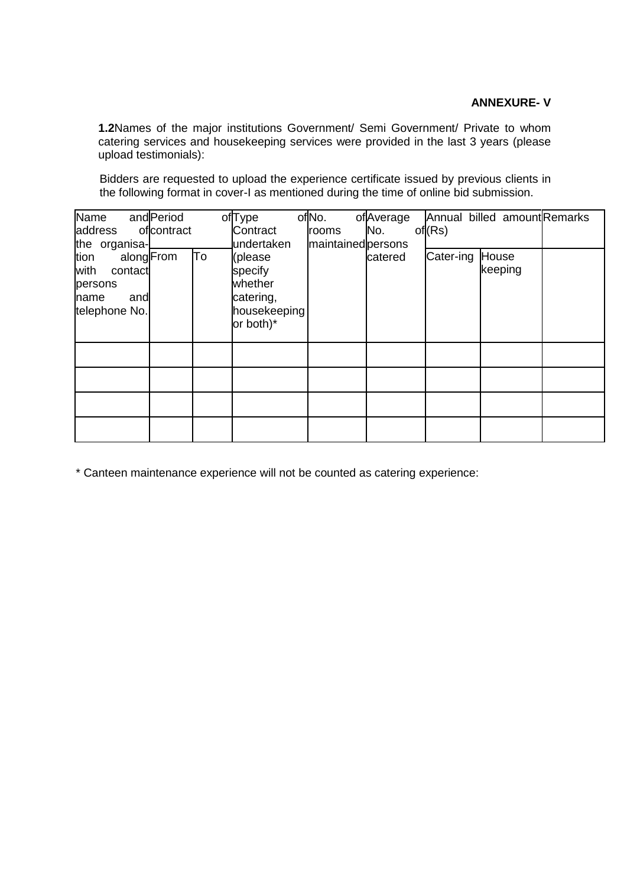### **ANNEXURE- V**

**1.2**Names of the major institutions Government/ Semi Government/ Private to whom catering services and housekeeping services were provided in the last 3 years (please upload testimonials):

Bidders are requested to upload the experience certificate issued by previous clients in the following format in cover-I as mentioned during the time of online bid submission.

| Name                                                               | and Period      | of <sub>Type</sub>                                                      | of <sub>No.</sub>           | ofAverage |           | Annual billed amountRemarks |  |
|--------------------------------------------------------------------|-----------------|-------------------------------------------------------------------------|-----------------------------|-----------|-----------|-----------------------------|--|
| address<br>the organisa-                                           | ofcontract      | Contract<br>undertaken                                                  | rooms<br>maintained persons | No.       | of(Rs)    |                             |  |
| tion<br>with<br>contact<br>persons<br>and<br>name<br>telephone No. | To<br>alongFrom | (please<br>specify<br>whether<br>catering,<br>housekeeping<br>or both)* |                             | catered   | Cater-ing | House<br>keeping            |  |
|                                                                    |                 |                                                                         |                             |           |           |                             |  |
|                                                                    |                 |                                                                         |                             |           |           |                             |  |
|                                                                    |                 |                                                                         |                             |           |           |                             |  |
|                                                                    |                 |                                                                         |                             |           |           |                             |  |

\* Canteen maintenance experience will not be counted as catering experience: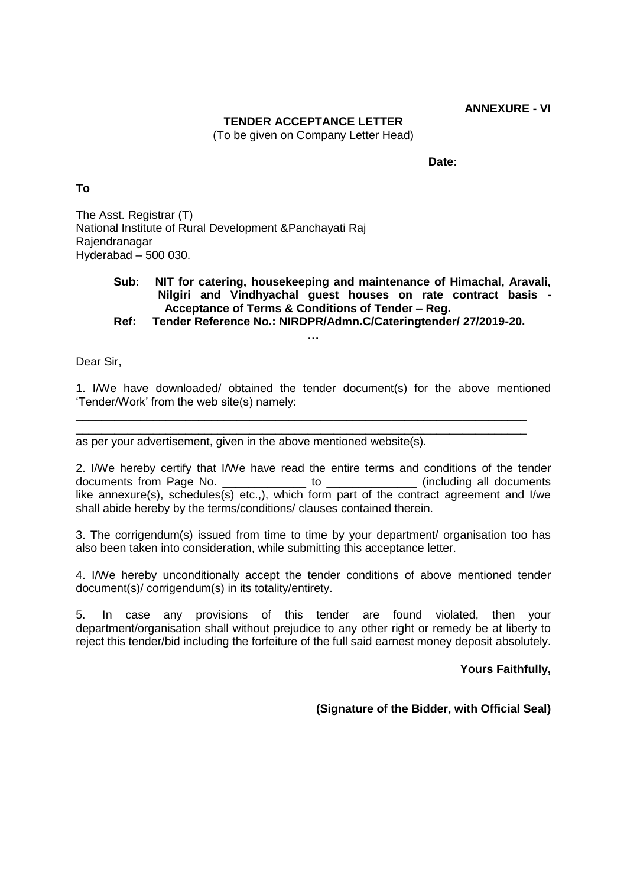### **TENDER ACCEPTANCE LETTER**

(To be given on Company Letter Head)

**Date:**

#### **To**

The Asst. Registrar (T) National Institute of Rural Development &Panchayati Raj Rajendranagar Hyderabad – 500 030.

# **Sub: NIT for catering, housekeeping and maintenance of Himachal, Aravali, Nilgiri and Vindhyachal guest houses on rate contract basis - Acceptance of Terms & Conditions of Tender – Reg.**

**Ref: Tender Reference No.: NIRDPR/Admn.C/Cateringtender/ 27/2019-20.**

**…**

Dear Sir,

1. I/We have downloaded/ obtained the tender document(s) for the above mentioned 'Tender/Work' from the web site(s) namely:

\_\_\_\_\_\_\_\_\_\_\_\_\_\_\_\_\_\_\_\_\_\_\_\_\_\_\_\_\_\_\_\_\_\_\_\_\_\_\_\_\_\_\_\_\_\_\_\_\_\_\_\_\_\_\_\_\_\_\_\_\_\_\_\_\_\_\_\_\_\_ \_\_\_\_\_\_\_\_\_\_\_\_\_\_\_\_\_\_\_\_\_\_\_\_\_\_\_\_\_\_\_\_\_\_\_\_\_\_\_\_\_\_\_\_\_\_\_\_\_\_\_\_\_\_\_\_\_\_\_\_\_\_\_\_\_\_\_\_\_\_

as per your advertisement, given in the above mentioned website(s).

2. I/We hereby certify that I/We have read the entire terms and conditions of the tender documents from Page No. \_\_\_\_\_\_\_\_\_\_\_\_\_ to \_\_\_\_\_\_\_\_\_\_\_\_\_\_ (including all documents like annexure(s), schedules(s) etc.,), which form part of the contract agreement and I/we shall abide hereby by the terms/conditions/ clauses contained therein.

3. The corrigendum(s) issued from time to time by your department/ organisation too has also been taken into consideration, while submitting this acceptance letter.

4. I/We hereby unconditionally accept the tender conditions of above mentioned tender document(s)/ corrigendum(s) in its totality/entirety.

5. In case any provisions of this tender are found violated, then your department/organisation shall without prejudice to any other right or remedy be at liberty to reject this tender/bid including the forfeiture of the full said earnest money deposit absolutely.

#### **Yours Faithfully,**

**(Signature of the Bidder, with Official Seal)**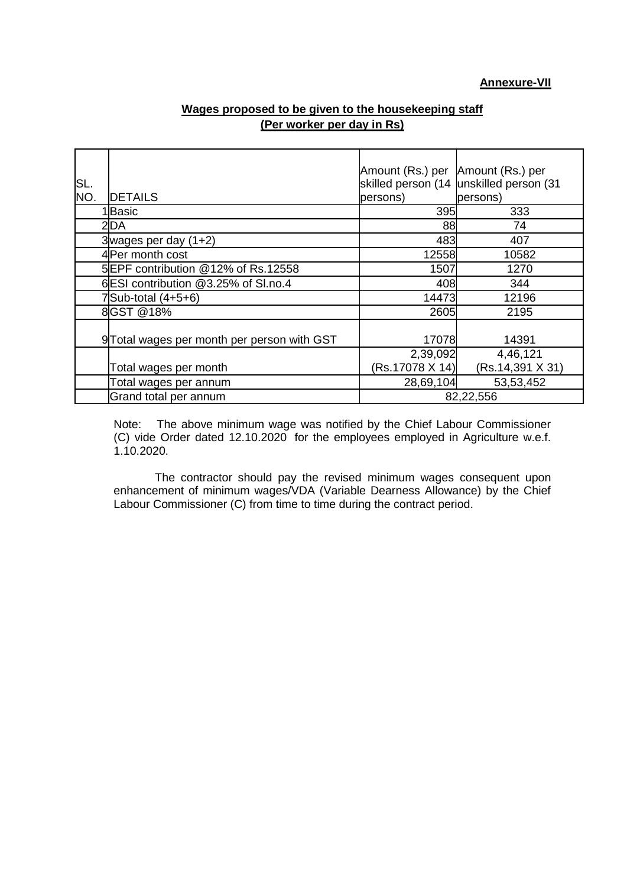| Wages proposed to be given to the housekeeping staff |  |
|------------------------------------------------------|--|
| (Per worker per day in Rs)                           |  |

| SL. |                                             | Amount (Rs.) per Amount (Rs.) per | skilled person (14 unskilled person (31 |
|-----|---------------------------------------------|-----------------------------------|-----------------------------------------|
| NO. | <b>DETAILS</b>                              | persons)                          | persons)                                |
|     | I Basic                                     | 395                               | 333                                     |
|     | 2 <sub>DA</sub>                             | 88                                | 74                                      |
|     | 3 wages per day $(1+2)$                     | 483                               | 407                                     |
|     | 4 Per month cost                            | 12558                             | 10582                                   |
|     | 5EPF contribution @12% of Rs.12558          | 1507                              | 1270                                    |
|     | 6 ESI contribution @3.25% of SI.no.4        | 408                               | 344                                     |
|     | $7$ Sub-total $(4+5+6)$                     | 14473                             | 12196                                   |
|     | 8 GST @18%                                  | 2605                              | 2195                                    |
|     | 9 Total wages per month per person with GST | 17078                             | 14391                                   |
|     |                                             | 2,39,092                          | 4,46,121                                |
|     | Total wages per month                       | (Rs.17078 X 14)                   | (Rs.14,391 X 31)                        |
|     | Total wages per annum                       | 28,69,104                         | 53,53,452                               |
|     | Grand total per annum                       |                                   | 82,22,556                               |

Note: The above minimum wage was notified by the Chief Labour Commissioner (C) vide Order dated 12.10.2020 for the employees employed in Agriculture w.e.f. 1.10.2020.

The contractor should pay the revised minimum wages consequent upon enhancement of minimum wages/VDA (Variable Dearness Allowance) by the Chief Labour Commissioner (C) from time to time during the contract period.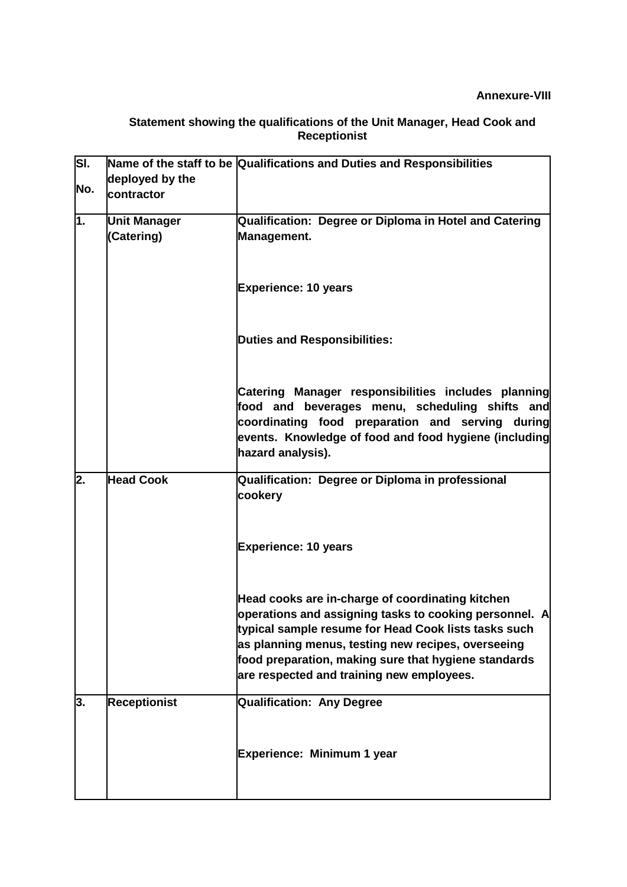#### **Statement showing the qualifications of the Unit Manager, Head Cook and Receptionist**

| SI. |                     | Name of the staff to be Qualifications and Duties and Responsibilities                                                                                                                                                                                                                                                        |
|-----|---------------------|-------------------------------------------------------------------------------------------------------------------------------------------------------------------------------------------------------------------------------------------------------------------------------------------------------------------------------|
| No. | deployed by the     |                                                                                                                                                                                                                                                                                                                               |
|     | contractor          |                                                                                                                                                                                                                                                                                                                               |
| 1.  | <b>Unit Manager</b> | Qualification: Degree or Diploma in Hotel and Catering                                                                                                                                                                                                                                                                        |
|     | (Catering)          | Management.                                                                                                                                                                                                                                                                                                                   |
|     |                     |                                                                                                                                                                                                                                                                                                                               |
|     |                     | <b>Experience: 10 years</b>                                                                                                                                                                                                                                                                                                   |
|     |                     | <b>Duties and Responsibilities:</b>                                                                                                                                                                                                                                                                                           |
|     |                     | Catering Manager responsibilities includes planning<br>food and beverages menu, scheduling shifts and<br>coordinating food preparation and serving during<br>events. Knowledge of food and food hygiene (including<br>hazard analysis).                                                                                       |
| 2.  | <b>Head Cook</b>    | Qualification: Degree or Diploma in professional<br>cookery                                                                                                                                                                                                                                                                   |
|     |                     | <b>Experience: 10 years</b>                                                                                                                                                                                                                                                                                                   |
|     |                     | Head cooks are in-charge of coordinating kitchen<br>operations and assigning tasks to cooking personnel. A<br>typical sample resume for Head Cook lists tasks such<br>as planning menus, testing new recipes, overseeing<br>food preparation, making sure that hygiene standards<br>are respected and training new employees. |
| 3.  | <b>Receptionist</b> | <b>Qualification: Any Degree</b>                                                                                                                                                                                                                                                                                              |
|     |                     | Experience: Minimum 1 year                                                                                                                                                                                                                                                                                                    |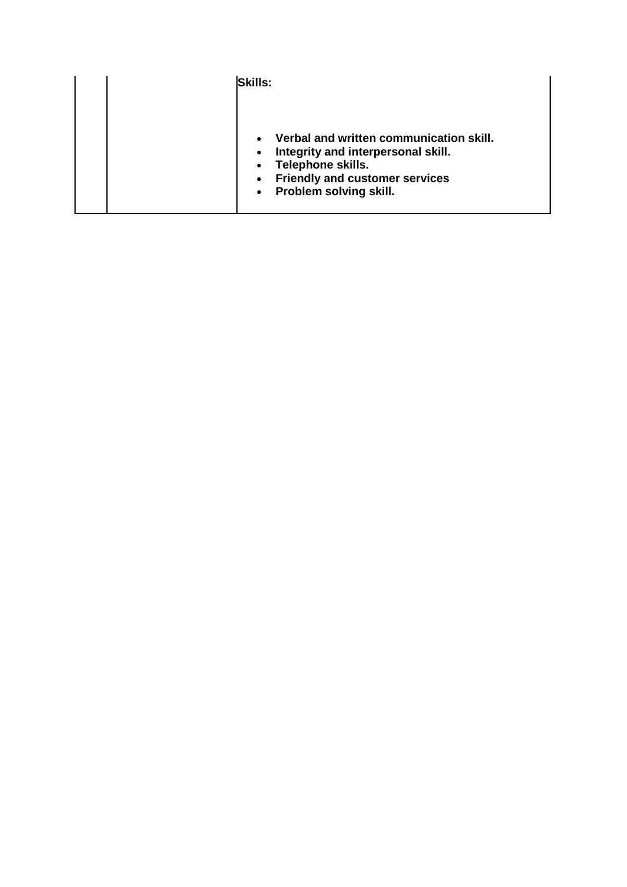| <b>Skills:</b>                                                                                                                                                                     |
|------------------------------------------------------------------------------------------------------------------------------------------------------------------------------------|
| Verbal and written communication skill.<br>Integrity and interpersonal skill.<br>Telephone skills.<br><b>Friendly and customer services</b><br>$\bullet$<br>Problem solving skill. |